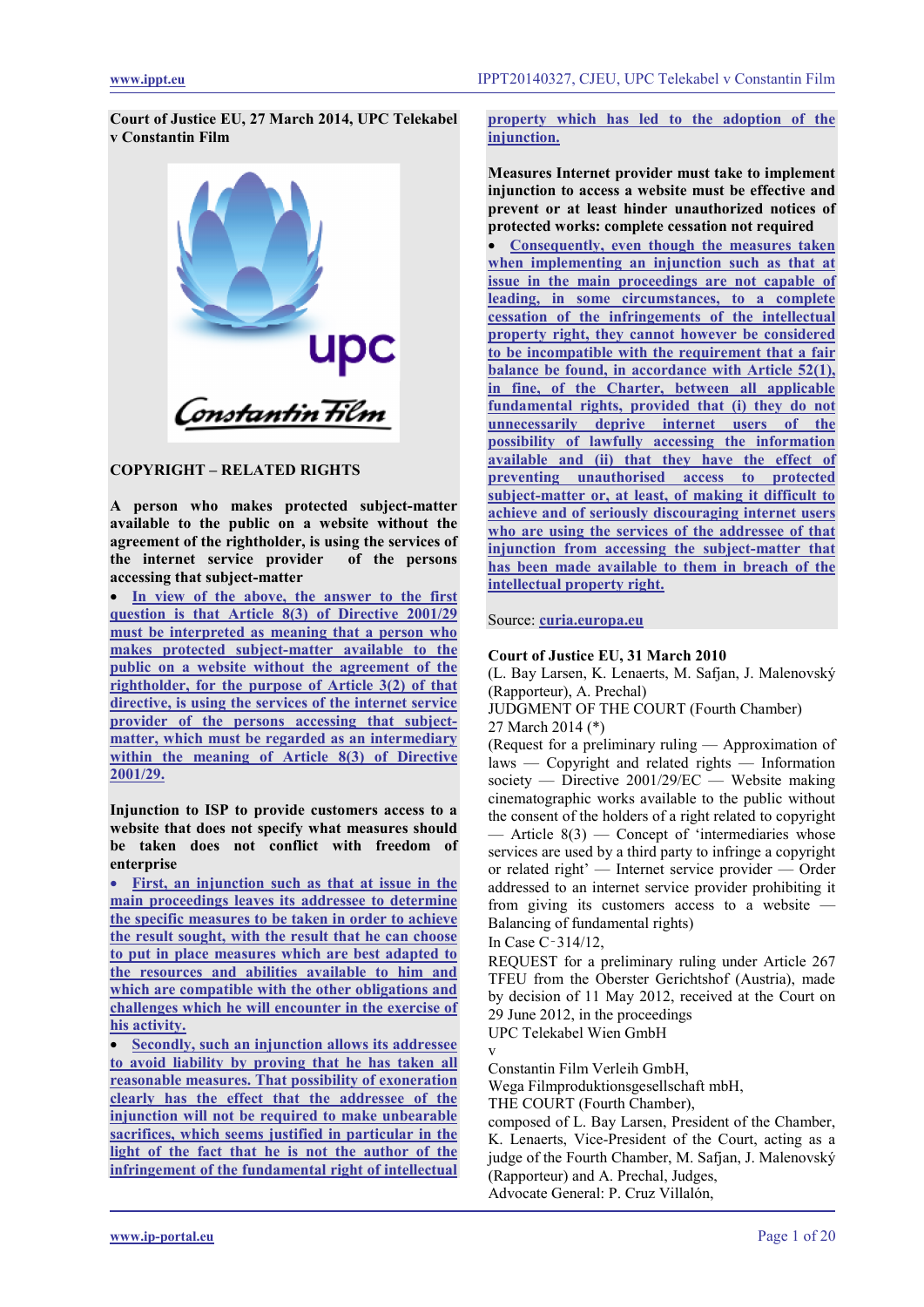**Court of Justice EU, 27 March 2014, UPC Telekabel v Constantin Film**



# **COPYRIGHT – RELATED RIGHTS**

**A person who makes protected subject-matter available to the public on a website without the agreement of the rightholder, is using the services of the internet service provider of the persons accessing that subject-matter**

• **[In view of the above, the answer to the first](#page-4-0)  [question is that Article 8\(3\) of Directive 2001/29](#page-4-0)  [must be interpreted as meaning that a person who](#page-4-0)  [makes protected subject-matter available to the](#page-4-0)  [public on a website without the agreement of the](#page-4-0)  [rightholder, for the purpose of Article 3\(2\) of that](#page-4-0)  [directive, is using the services of the internet service](#page-4-0)  [provider of the persons accessing that subject](#page-4-0)[matter, which must be regarded as an intermediary](#page-4-0)  [within the meaning of Article 8\(3\) of Directive](#page-4-0)  [2001/29.](#page-4-0)**

**Injunction to ISP to provide customers access to a website that does not specify what measures should be taken does not conflict with freedom of enterprise** 

• **[First, an injunction such as that at issue in the](#page-5-0)  [main proceedings leaves its addressee to determine](#page-5-0)  [the specific measures to be taken in order to achieve](#page-5-0)  [the result sought, with the result that he can choose](#page-5-0)  [to put in place measures which are best adapted](#page-5-0) to [the resources and abilities available to him and](#page-5-0)  [which are compatible with the other obligations and](#page-5-0)  [challenges which he will encounter in the exercise of](#page-5-0)  [his activity.](#page-5-0)** 

• **[Secondly, such an injunction allows its addressee](#page-5-0)  [to avoid liability by proving that he has taken all](#page-5-0)  [reasonable measures. That possibility of exoneration](#page-5-0)  [clearly has the effect that the addressee of the](#page-5-0)  [injunction will not be required to make unbearable](#page-5-0)  [sacrifices, which seems justified in particular in the](#page-5-0)  [light of the fact that he is](#page-5-0) not the author of the [infringement of the fundamental right of intellectual](#page-5-0)** 

# **[property which has led to the adoption of the](#page-5-0)  [injunction.](#page-5-0)**

**Measures Internet provider must take to implement injunction to access a website must be effective and prevent or at least hinder unauthorized notices of protected works: complete cessation not required**

• **[Consequently, even though the measures taken](#page-5-1)  [when implementing an injunction such as that at](#page-5-1)  [issue in the main proceedings are not capable](#page-5-1) of [leading, in some circumstances, to a complete](#page-5-1)  [cessation of the infringements of the intellectual](#page-5-1)  [property right, they cannot however be considered](#page-5-1)  [to be incompatible with the requirement that a fair](#page-5-1)  [balance be found, in accordance with Article 52\(1\),](#page-5-1)  [in fine, of the Charter, between all applicable](#page-5-1)  [fundamental rights, provided that \(i\) they do not](#page-5-1)  [unnecessarily deprive internet users of the](#page-5-1)  [possibility of lawfully accessing the information](#page-5-1)  [available and \(ii\) that they have the effect of](#page-5-1)  [preventing unauthorised access to protected](#page-5-1)  [subject-matter or, at least, of making it difficult to](#page-5-1)  [achieve and of seriously discouraging internet users](#page-5-1)  [who are using the services of the addressee of that](#page-5-1)  [injunction from accessing the subject-matter that](#page-5-1)  [has been made available to them in breach of the](#page-5-1)  [intellectual property right.](#page-5-1)**

Source: **[curia.europa.eu](http://curia.europa.eu/juris/liste.jsf?language=en&jur=C,T,F&num=C-314/12&td=ALL)**

# **Court of Justice EU, 31 March 2010**

(L. Bay Larsen, K. Lenaerts, M. Safjan, J. Malenovský (Rapporteur), A. Prechal)

JUDGMENT OF THE COURT (Fourth Chamber) 27 March 2014 (\*)

(Request for a preliminary ruling — Approximation of laws — Copyright and related rights — Information society — Directive 2001/29/EC — Website making cinematographic works available to the public without the consent of the holders of a right related to copyright Article  $8(3)$  — Concept of 'intermediaries whose services are used by a third party to infringe a copyright or related right' — Internet service provider — Order addressed to an internet service provider prohibiting it from giving its customers access to a website -Balancing of fundamental rights)

In Case C‑314/12,

REQUEST for a preliminary ruling under Article 267 TFEU from the Oberster Gerichtshof (Austria), made by decision of 11 May 2012, received at the Court on 29 June 2012, in the proceedings

UPC Telekabel Wien GmbH

v Constantin Film Verleih GmbH,

Wega Filmproduktionsgesellschaft mbH,

THE COURT (Fourth Chamber),

composed of L. Bay Larsen, President of the Chamber, K. Lenaerts, Vice-President of the Court, acting as a judge of the Fourth Chamber, M. Safjan, J. Malenovský (Rapporteur) and A. Prechal, Judges, Advocate General: P. Cruz Villalón,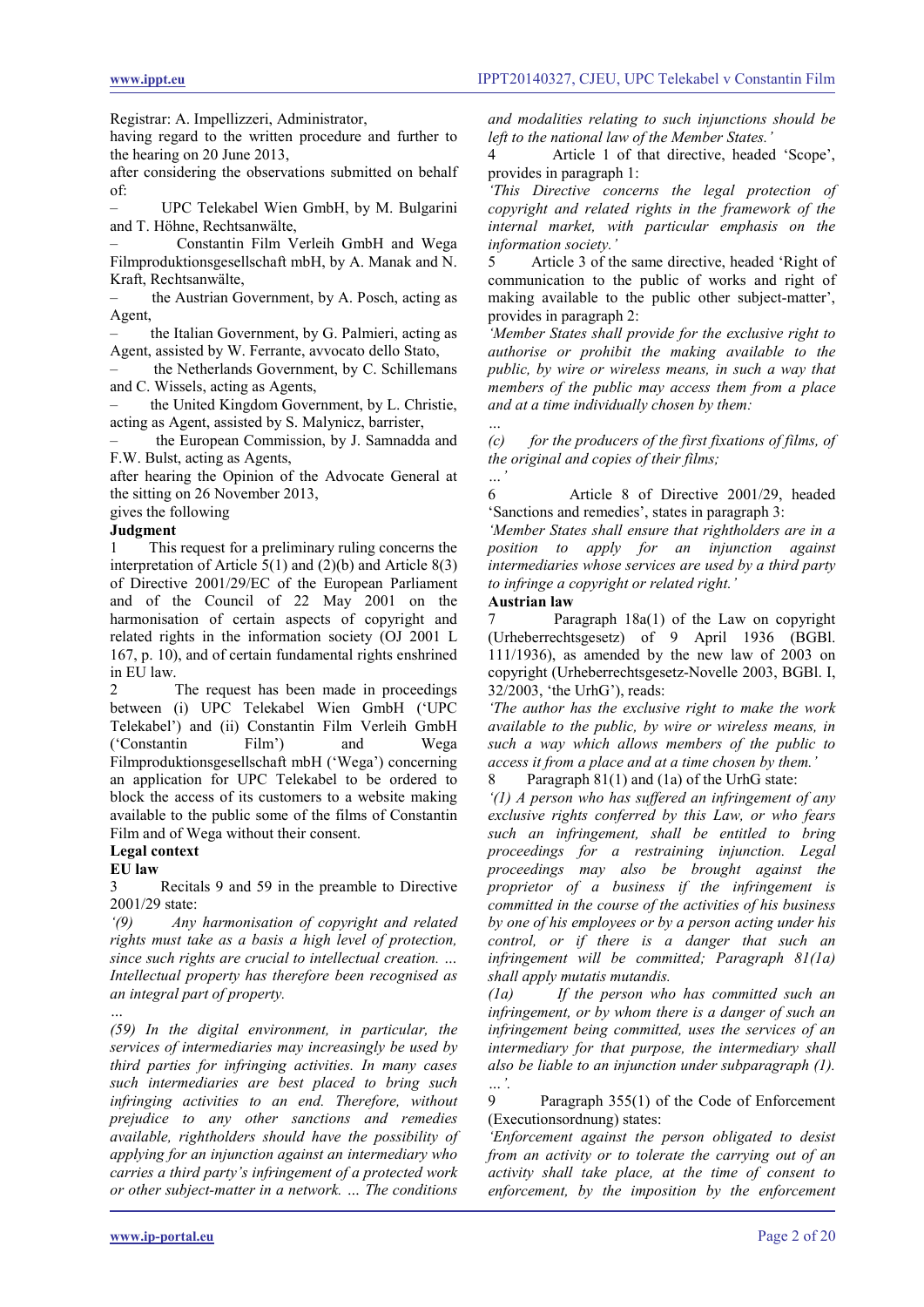Registrar: A. Impellizzeri, Administrator,

having regard to the written procedure and further to the hearing on 20 June 2013,

after considering the observations submitted on behalf of:

– UPC Telekabel Wien GmbH, by M. Bulgarini and T. Höhne, Rechtsanwälte,

– Constantin Film Verleih GmbH and Wega Filmproduktionsgesellschaft mbH, by A. Manak and N. Kraft, Rechtsanwälte,

the Austrian Government, by A. Posch, acting as Agent,

– the Italian Government, by G. Palmieri, acting as Agent, assisted by W. Ferrante, avvocato dello Stato,

– the Netherlands Government, by C. Schillemans and C. Wissels, acting as Agents,

– the United Kingdom Government, by L. Christie, acting as Agent, assisted by S. Malynicz, barrister,

– the European Commission, by J. Samnadda and F.W. Bulst, acting as Agents,

after hearing the Opinion of the Advocate General at the sitting on 26 November 2013,

gives the following

#### **Judgment**

1 This request for a preliminary ruling concerns the interpretation of Article  $5(1)$  and  $(2)(b)$  and Article  $8(3)$ of Directive 2001/29/EC of the European Parliament and of the Council of 22 May 2001 on the harmonisation of certain aspects of copyright and related rights in the information society (OJ 2001 L 167, p. 10), and of certain fundamental rights enshrined in EU law.

2 The request has been made in proceedings between (i) UPC Telekabel Wien GmbH ('UPC Telekabel') and (ii) Constantin Film Verleih GmbH ('Constantin Film') and Wega Filmproduktionsgesellschaft mbH ('Wega') concerning an application for UPC Telekabel to be ordered to block the access of its customers to a website making available to the public some of the films of Constantin Film and of Wega without their consent.

#### **Legal context**

**EU law**

3 Recitals 9 and 59 in the preamble to Directive 2001/29 state:

*'(9) Any harmonisation of copyright and related rights must take as a basis a high level of protection, since such rights are crucial to intellectual creation. … Intellectual property has therefore been recognised as an integral part of property.*

*… (59) In the digital environment, in particular, the services of intermediaries may increasingly be used by third parties for infringing activities. In many cases such intermediaries are best placed to bring such infringing activities to an end. Therefore, without prejudice to any other sanctions and remedies available, rightholders should have the possibility of applying for an injunction against an intermediary who carries a third party's infringement of a protected work or other subject-matter in a network. … The conditions* 

*and modalities relating to such injunctions should be left to the national law of the Member States.'*

4 Article 1 of that directive, headed 'Scope', provides in paragraph 1:

*'This Directive concerns the legal protection of copyright and related rights in the framework of the internal market, with particular emphasis on the information society.'*

5 Article 3 of the same directive, headed 'Right of communication to the public of works and right of making available to the public other subject-matter', provides in paragraph 2:

*'Member States shall provide for the exclusive right to authorise or prohibit the making available to the public, by wire or wireless means, in such a way that members of the public may access them from a place and at a time individually chosen by them:*

*… (c) for the producers of the first fixations of films, of the original and copies of their films;*

*…'* 6 Article 8 of Directive 2001/29, headed 'Sanctions and remedies', states in paragraph 3:

*'Member States shall ensure that rightholders are in a position to apply for an injunction against intermediaries whose services are used by a third party to infringe a copyright or related right.'*

# **Austrian law**

Paragraph  $18a(1)$  of the Law on copyright (Urheberrechtsgesetz) of 9 April 1936 (BGBl. 111/1936), as amended by the new law of 2003 on copyright (Urheberrechtsgesetz-Novelle 2003, BGBl. I, 32/2003, 'the UrhG'), reads:

*'The author has the exclusive right to make the work available to the public, by wire or wireless means, in such a way which allows members of the public to access it from a place and at a time chosen by them.'* Paragraph 81(1) and (1a) of the UrhG state:

*'(1) A person who has suffered an infringement of any exclusive rights conferred by this Law, or who fears such an infringement, shall be entitled to bring proceedings for a restraining injunction. Legal proceedings may also be brought against the proprietor of a business if the infringement is committed in the course of the activities of his business by one of his employees or by a person acting under his control, or if there is a danger that such an infringement will be committed; Paragraph 81(1a) shall apply mutatis mutandis.*

*(1a) If the person who has committed such an infringement, or by whom there is a danger of such an infringement being committed, uses the services of an intermediary for that purpose, the intermediary shall also be liable to an injunction under subparagraph (1). …'.*

9 Paragraph 355(1) of the Code of Enforcement (Executionsordnung) states:

*'Enforcement against the person obligated to desist from an activity or to tolerate the carrying out of an activity shall take place, at the time of consent to enforcement, by the imposition by the enforcement*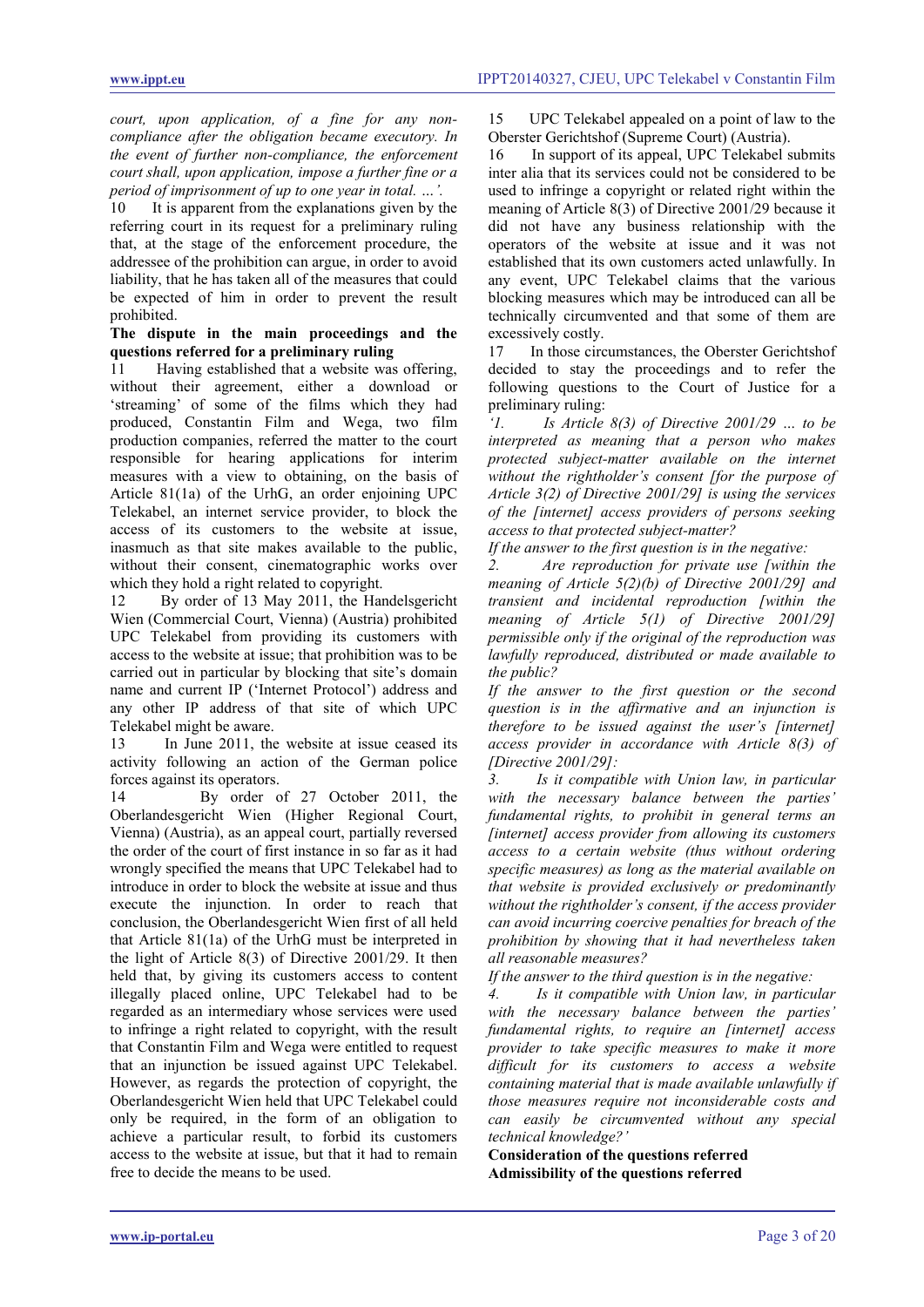*court, upon application, of a fine for any noncompliance after the obligation became executory. In the event of further non-compliance, the enforcement court shall, upon application, impose a further fine or a period of imprisonment of up to one year in total. …'.*

10 It is apparent from the explanations given by the referring court in its request for a preliminary ruling that, at the stage of the enforcement procedure, the addressee of the prohibition can argue, in order to avoid liability, that he has taken all of the measures that could be expected of him in order to prevent the result prohibited.

#### **The dispute in the main proceedings and the questions referred for a preliminary ruling**

11 Having established that a website was offering, without their agreement, either a download or 'streaming' of some of the films which they had produced, Constantin Film and Wega, two film production companies, referred the matter to the court responsible for hearing applications for interim measures with a view to obtaining, on the basis of Article 81(1a) of the UrhG, an order enjoining UPC Telekabel, an internet service provider, to block the access of its customers to the website at issue, inasmuch as that site makes available to the public, without their consent, cinematographic works over which they hold a right related to copyright.

12 By order of 13 May 2011, the Handelsgericht Wien (Commercial Court, Vienna) (Austria) prohibited UPC Telekabel from providing its customers with access to the website at issue; that prohibition was to be carried out in particular by blocking that site's domain name and current IP ('Internet Protocol') address and any other IP address of that site of which UPC Telekabel might be aware.

13 In June 2011, the website at issue ceased its activity following an action of the German police forces against its operators.

14 By order of 27 October 2011, the Oberlandesgericht Wien (Higher Regional Court, Vienna) (Austria), as an appeal court, partially reversed the order of the court of first instance in so far as it had wrongly specified the means that UPC Telekabel had to introduce in order to block the website at issue and thus execute the injunction. In order to reach that conclusion, the Oberlandesgericht Wien first of all held that Article 81(1a) of the UrhG must be interpreted in the light of Article 8(3) of Directive 2001/29. It then held that, by giving its customers access to content illegally placed online, UPC Telekabel had to be regarded as an intermediary whose services were used to infringe a right related to copyright, with the result that Constantin Film and Wega were entitled to request that an injunction be issued against UPC Telekabel. However, as regards the protection of copyright, the Oberlandesgericht Wien held that UPC Telekabel could only be required, in the form of an obligation to achieve a particular result, to forbid its customers access to the website at issue, but that it had to remain free to decide the means to be used.

15 UPC Telekabel appealed on a point of law to the Oberster Gerichtshof (Supreme Court) (Austria).

16 In support of its appeal, UPC Telekabel submits inter alia that its services could not be considered to be used to infringe a copyright or related right within the meaning of Article 8(3) of Directive 2001/29 because it did not have any business relationship with the operators of the website at issue and it was not established that its own customers acted unlawfully. In any event, UPC Telekabel claims that the various blocking measures which may be introduced can all be technically circumvented and that some of them are excessively costly.

17 In those circumstances, the Oberster Gerichtshof decided to stay the proceedings and to refer the following questions to the Court of Justice for a preliminary ruling:

*'1. Is Article 8(3) of Directive 2001/29 … to be interpreted as meaning that a person who makes protected subject-matter available on the internet without the rightholder's consent [for the purpose of Article 3(2) of Directive 2001/29] is using the services of the [internet] access providers of persons seeking access to that protected subject-matter?*

*If the answer to the first question is in the negative:*

*2. Are reproduction for private use [within the meaning of Article 5(2)(b) of Directive 2001/29] and transient and incidental reproduction [within the meaning of Article 5(1) of Directive 2001/29] permissible only if the original of the reproduction was lawfully reproduced, distributed or made available to the public?*

*If the answer to the first question or the second question is in the affirmative and an injunction is therefore to be issued against the user's [internet] access provider in accordance with Article 8(3) of [Directive 2001/29]:*

*3. Is it compatible with Union law, in particular with the necessary balance between the parties' fundamental rights, to prohibit in general terms an [internet] access provider from allowing its customers access to a certain website (thus without ordering specific measures) as long as the material available on that website is provided exclusively or predominantly without the rightholder's consent, if the access provider can avoid incurring coercive penalties for breach of the prohibition by showing that it had nevertheless taken all reasonable measures?*

*If the answer to the third question is in the negative:*

*4. Is it compatible with Union law, in particular with the necessary balance between the parties' fundamental rights, to require an [internet] access provider to take specific measures to make it more difficult for its customers to access a website containing material that is made available unlawfully if those measures require not inconsiderable costs and can easily be circumvented without any special technical knowledge?'*

**Consideration of the questions referred Admissibility of the questions referred**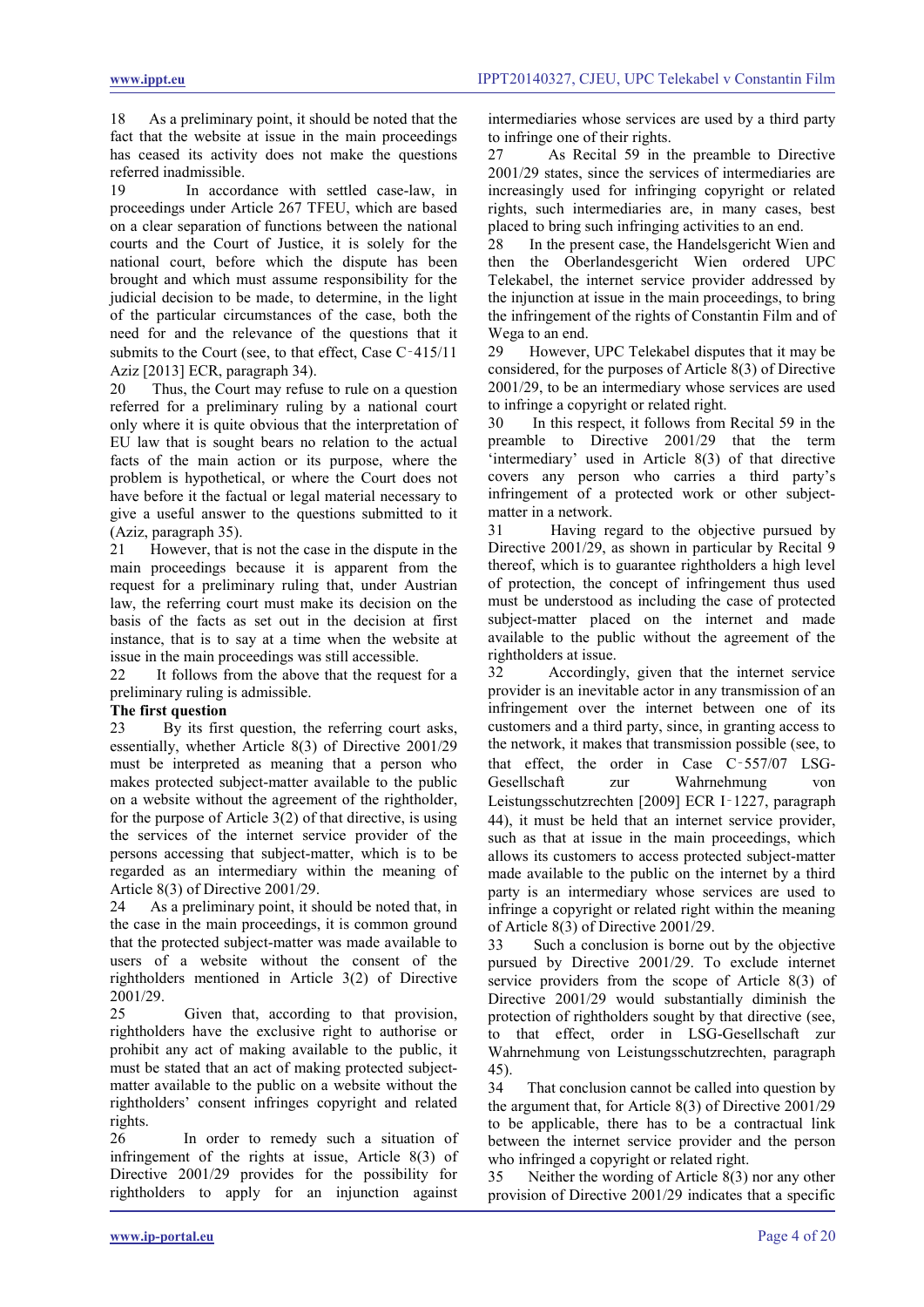18 As a preliminary point, it should be noted that the fact that the website at issue in the main proceedings has ceased its activity does not make the questions referred inadmissible.

19 In accordance with settled case-law, in proceedings under Article 267 TFEU, which are based on a clear separation of functions between the national courts and the Court of Justice, it is solely for the national court, before which the dispute has been brought and which must assume responsibility for the judicial decision to be made, to determine, in the light of the particular circumstances of the case, both the need for and the relevance of the questions that it submits to the Court (see, to that effect, Case C-415/11) Aziz [2013] ECR, paragraph 34).

20 Thus, the Court may refuse to rule on a question referred for a preliminary ruling by a national court only where it is quite obvious that the interpretation of EU law that is sought bears no relation to the actual facts of the main action or its purpose, where the problem is hypothetical, or where the Court does not have before it the factual or legal material necessary to give a useful answer to the questions submitted to it (Aziz, paragraph 35).

21 However, that is not the case in the dispute in the main proceedings because it is apparent from the request for a preliminary ruling that, under Austrian law, the referring court must make its decision on the basis of the facts as set out in the decision at first instance, that is to say at a time when the website at issue in the main proceedings was still accessible.

22 It follows from the above that the request for a preliminary ruling is admissible.

# **The first question**

23 By its first question, the referring court asks, essentially, whether Article 8(3) of Directive 2001/29 must be interpreted as meaning that a person who makes protected subject-matter available to the public on a website without the agreement of the rightholder, for the purpose of Article 3(2) of that directive, is using the services of the internet service provider of the persons accessing that subject-matter, which is to be regarded as an intermediary within the meaning of Article 8(3) of Directive 2001/29.

24 As a preliminary point, it should be noted that, in the case in the main proceedings, it is common ground that the protected subject-matter was made available to users of a website without the consent of the rightholders mentioned in Article 3(2) of Directive 2001/29.

25 Given that, according to that provision, rightholders have the exclusive right to authorise or prohibit any act of making available to the public, it must be stated that an act of making protected subjectmatter available to the public on a website without the rightholders' consent infringes copyright and related rights.

26 In order to remedy such a situation of infringement of the rights at issue, Article 8(3) of Directive 2001/29 provides for the possibility for rightholders to apply for an injunction against

intermediaries whose services are used by a third party to infringe one of their rights.

27 As Recital 59 in the preamble to Directive 2001/29 states, since the services of intermediaries are increasingly used for infringing copyright or related rights, such intermediaries are, in many cases, best placed to bring such infringing activities to an end.<br>28 In the present case, the Handelsgericht Wier

In the present case, the Handelsgericht Wien and then the Oberlandesgericht Wien ordered UPC Telekabel, the internet service provider addressed by the injunction at issue in the main proceedings, to bring the infringement of the rights of Constantin Film and of Wega to an end.

29 However, UPC Telekabel disputes that it may be considered, for the purposes of Article 8(3) of Directive 2001/29, to be an intermediary whose services are used to infringe a copyright or related right.

30 In this respect, it follows from Recital 59 in the preamble to Directive 2001/29 that the term 'intermediary' used in Article 8(3) of that directive covers any person who carries a third party's infringement of a protected work or other subjectmatter in a network.

31 Having regard to the objective pursued by Directive 2001/29, as shown in particular by Recital 9 thereof, which is to guarantee rightholders a high level of protection, the concept of infringement thus used must be understood as including the case of protected subject-matter placed on the internet and made available to the public without the agreement of the rightholders at issue.<br>32 According

Accordingly, given that the internet service provider is an inevitable actor in any transmission of an infringement over the internet between one of its customers and a third party, since, in granting access to the network, it makes that transmission possible (see, to that effect, the order in Case C‑557/07 LSG-Gesellschaft zur Wahrnehmung von Leistungsschutzrechten [2009] ECR I‑1227, paragraph 44), it must be held that an internet service provider, such as that at issue in the main proceedings, which allows its customers to access protected subject-matter made available to the public on the internet by a third party is an intermediary whose services are used to infringe a copyright or related right within the meaning of Article 8(3) of Directive 2001/29.

33 Such a conclusion is borne out by the objective pursued by Directive 2001/29. To exclude internet service providers from the scope of Article 8(3) of Directive 2001/29 would substantially diminish the protection of rightholders sought by that directive (see, to that effect, order in LSG-Gesellschaft zur Wahrnehmung von Leistungsschutzrechten, paragraph 45).

34 That conclusion cannot be called into question by the argument that, for Article 8(3) of Directive 2001/29 to be applicable, there has to be a contractual link between the internet service provider and the person who infringed a copyright or related right.

35 Neither the wording of Article 8(3) nor any other provision of Directive 2001/29 indicates that a specific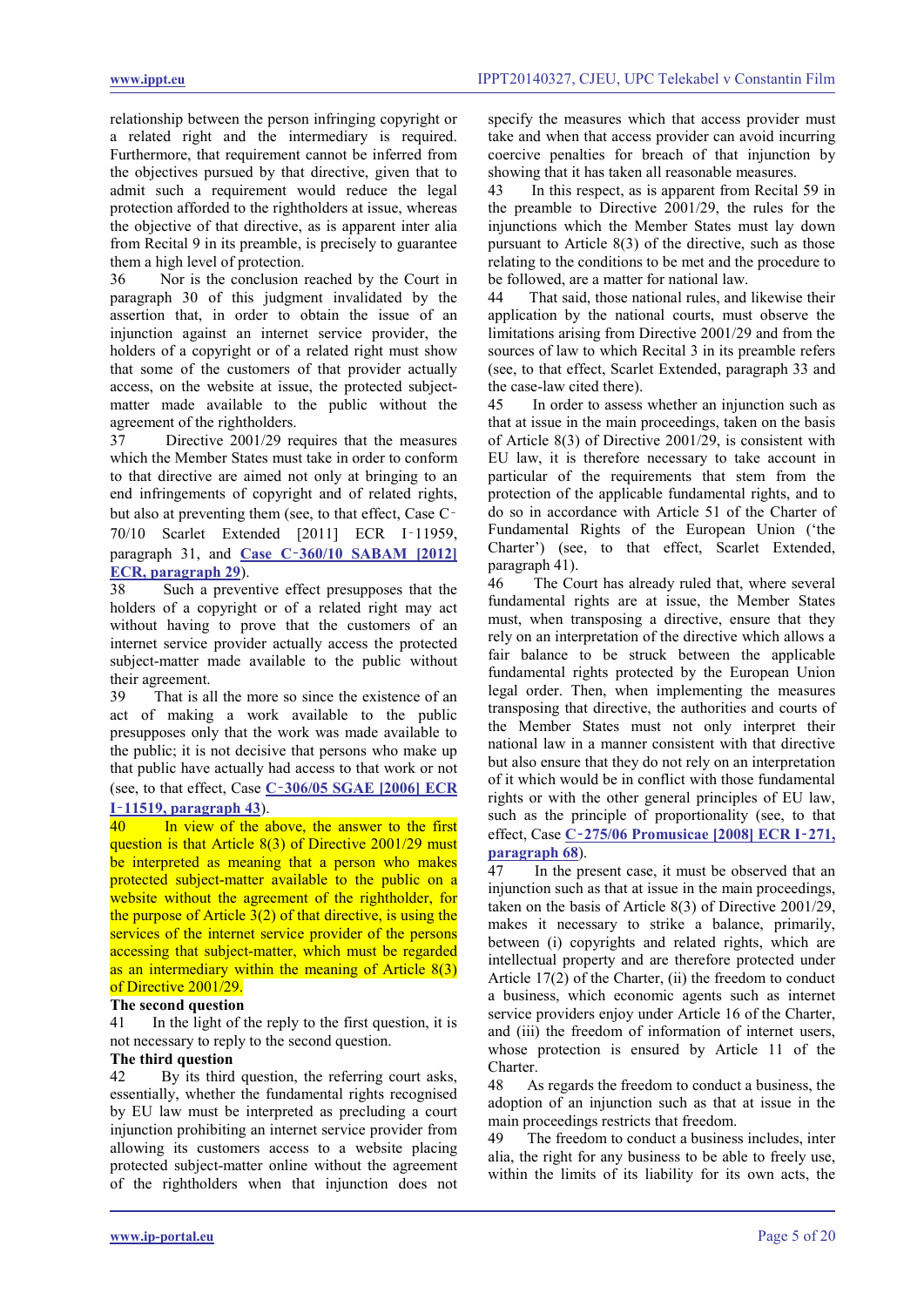relationship between the person infringing copyright or a related right and the intermediary is required. Furthermore, that requirement cannot be inferred from the objectives pursued by that directive, given that to admit such a requirement would reduce the legal protection afforded to the rightholders at issue, whereas the objective of that directive, as is apparent inter alia from Recital 9 in its preamble, is precisely to guarantee them a high level of protection.

36 Nor is the conclusion reached by the Court in paragraph 30 of this judgment invalidated by the assertion that, in order to obtain the issue of an injunction against an internet service provider, the holders of a copyright or of a related right must show that some of the customers of that provider actually access, on the website at issue, the protected subjectmatter made available to the public without the agreement of the rightholders.

37 Directive 2001/29 requires that the measures which the Member States must take in order to conform to that directive are aimed not only at bringing to an end infringements of copyright and of related rights, but also at preventing them (see, to that effect, Case C‑ 70/10 Scarlet Extended [2011] ECR I-11959, paragraph 31, and **Case C**‑**[360/10 SABAM \[2012\]](http://www.ippt.eu/files/2012/IPPT20120216_ECJ_SABAM_v_Netlog.pdf)  [ECR, paragraph 29](http://www.ippt.eu/files/2012/IPPT20120216_ECJ_SABAM_v_Netlog.pdf)**).

38 Such a preventive effect presupposes that the holders of a copyright or of a related right may act without having to prove that the customers of an internet service provider actually access the protected subject-matter made available to the public without their agreement.

39 That is all the more so since the existence of an act of making a work available to the public presupposes only that the work was made available to the public; it is not decisive that persons who make up that public have actually had access to that work or not (see, to that effect, Case **C**‑**[306/05 SGAE \[2006\] ECR](http://www.ippt.eu/files/2006/IPPT20061207_ECJ_SGAE_v_Rafael_Hoteles.pdf)** 

# **I**‑**[11519, paragraph 43](http://www.ippt.eu/files/2006/IPPT20061207_ECJ_SGAE_v_Rafael_Hoteles.pdf)**).

<span id="page-4-0"></span>40 In view of the above, the answer to the first question is that Article 8(3) of Directive 2001/29 must be interpreted as meaning that a person who makes protected subject-matter available to the public on a website without the agreement of the rightholder, for the purpose of Article  $3(2)$  of that directive, is using the services of the internet service provider of the persons accessing that subject-matter, which must be regarded as an intermediary within the meaning of Article 8(3) of Directive 2001/29.

#### **The second question**

41 In the light of the reply to the first question, it is not necessary to reply to the second question.

#### **The third question**

42 By its third question, the referring court asks, essentially, whether the fundamental rights recognised by EU law must be interpreted as precluding a court injunction prohibiting an internet service provider from allowing its customers access to a website placing protected subject-matter online without the agreement of the rightholders when that injunction does not specify the measures which that access provider must take and when that access provider can avoid incurring coercive penalties for breach of that injunction by showing that it has taken all reasonable measures.

43 In this respect, as is apparent from Recital 59 in the preamble to Directive 2001/29, the rules for the injunctions which the Member States must lay down pursuant to Article 8(3) of the directive, such as those relating to the conditions to be met and the procedure to be followed, are a matter for national law.

44 That said, those national rules, and likewise their application by the national courts, must observe the limitations arising from Directive 2001/29 and from the sources of law to which Recital 3 in its preamble refers (see, to that effect, Scarlet Extended, paragraph 33 and the case-law cited there).

45 In order to assess whether an injunction such as that at issue in the main proceedings, taken on the basis of Article 8(3) of Directive 2001/29, is consistent with EU law, it is therefore necessary to take account in particular of the requirements that stem from the protection of the applicable fundamental rights, and to do so in accordance with Article 51 of the Charter of Fundamental Rights of the European Union ('the Charter') (see, to that effect, Scarlet Extended, paragraph 41).

46 The Court has already ruled that, where several fundamental rights are at issue, the Member States must, when transposing a directive, ensure that they rely on an interpretation of the directive which allows a fair balance to be struck between the applicable fundamental rights protected by the European Union legal order. Then, when implementing the measures transposing that directive, the authorities and courts of the Member States must not only interpret their national law in a manner consistent with that directive but also ensure that they do not rely on an interpretation of it which would be in conflict with those fundamental rights or with the other general principles of EU law, such as the principle of proportionality (see, to that effect, Case **C**‑**[275/06 Promusicae \[2008\] ECR I](http://www.ippt.eu/files/2008/IPPT20080129_ECJ_Promusicae_v_Telefonica_concerning_KaZaa.pdf)**‑**271, [paragraph 68](http://www.ippt.eu/files/2008/IPPT20080129_ECJ_Promusicae_v_Telefonica_concerning_KaZaa.pdf)**).

In the present case, it must be observed that an injunction such as that at issue in the main proceedings, taken on the basis of Article 8(3) of Directive 2001/29, makes it necessary to strike a balance, primarily, between (i) copyrights and related rights, which are intellectual property and are therefore protected under Article 17(2) of the Charter, (ii) the freedom to conduct a business, which economic agents such as internet service providers enjoy under Article 16 of the Charter, and (iii) the freedom of information of internet users, whose protection is ensured by Article 11 of the Charter.

48 As regards the freedom to conduct a business, the adoption of an injunction such as that at issue in the main proceedings restricts that freedom.

49 The freedom to conduct a business includes, inter alia, the right for any business to be able to freely use, within the limits of its liability for its own acts, the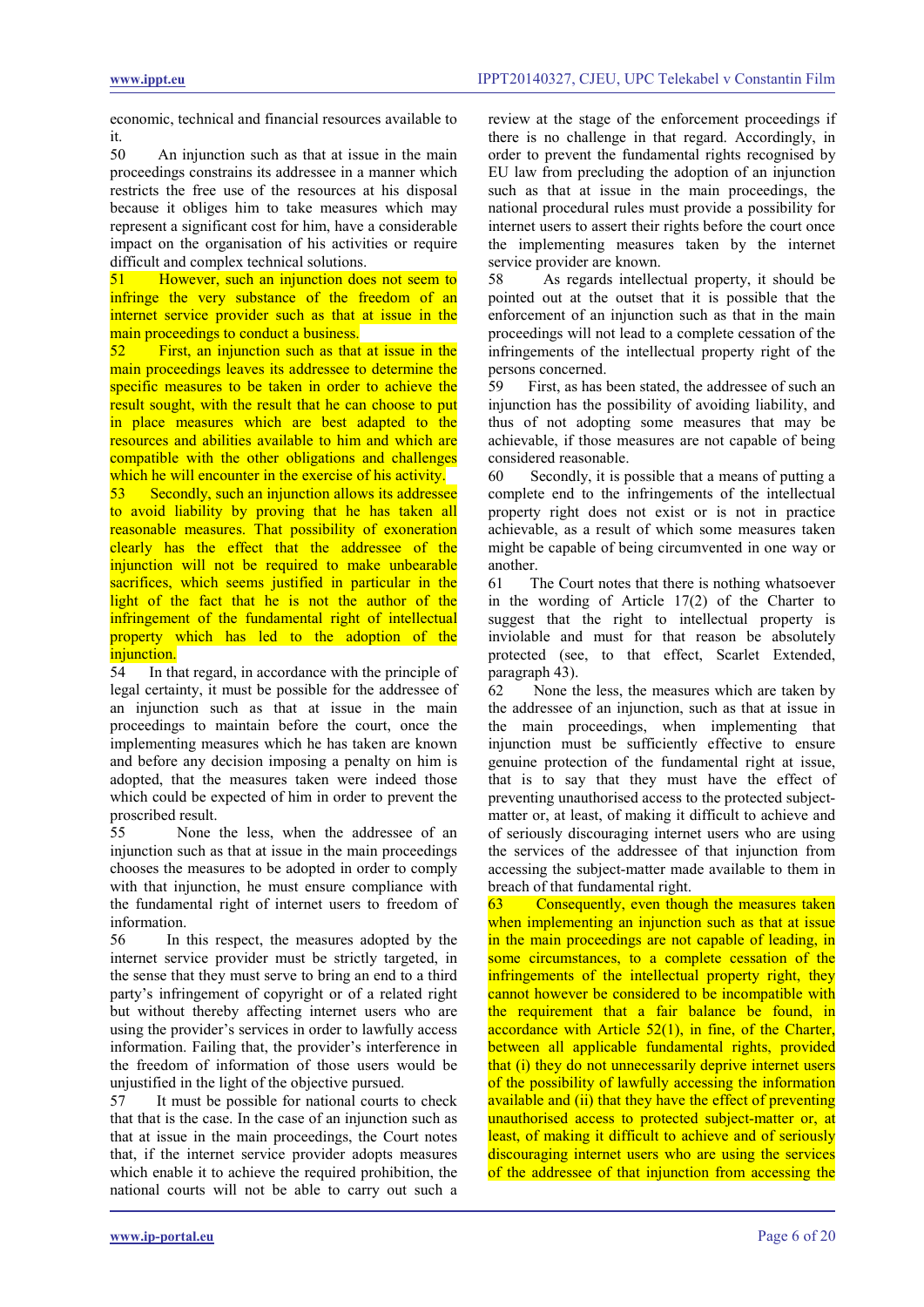economic, technical and financial resources available to it.<br> $50$ 

An injunction such as that at issue in the main proceedings constrains its addressee in a manner which restricts the free use of the resources at his disposal because it obliges him to take measures which may represent a significant cost for him, have a considerable impact on the organisation of his activities or require difficult and complex technical solutions.<br>51 However, such an injunction doe

<span id="page-5-0"></span>However, such an injunction does not seem to infringe the very substance of the freedom of an internet service provider such as that at issue in the main proceedings to conduct a business.

52 First, an injunction such as that at issue in the main proceedings leaves its addressee to determine the specific measures to be taken in order to achieve the result sought, with the result that he can choose to put in place measures which are best adapted to the resources and abilities available to him and which are compatible with the other obligations and challenges which he will encounter in the exercise of his activity.<br>53 Secondly, such an injunction allows its addressed

Secondly, such an injunction allows its addressee to avoid liability by proving that he has taken all reasonable measures. That possibility of exoneration clearly has the effect that the addressee of the injunction will not be required to make unbearable sacrifices, which seems justified in particular in the light of the fact that he is not the author of the infringement of the fundamental right of intellectual property which has led to the adoption of the

**injunction.**<br>54 In th In that regard, in accordance with the principle of legal certainty, it must be possible for the addressee of an injunction such as that at issue in the main proceedings to maintain before the court, once the implementing measures which he has taken are known and before any decision imposing a penalty on him is adopted, that the measures taken were indeed those which could be expected of him in order to prevent the proscribed result.

55 None the less, when the addressee of an injunction such as that at issue in the main proceedings chooses the measures to be adopted in order to comply with that injunction, he must ensure compliance with the fundamental right of internet users to freedom of information.

56 In this respect, the measures adopted by the internet service provider must be strictly targeted, in the sense that they must serve to bring an end to a third party's infringement of copyright or of a related right but without thereby affecting internet users who are using the provider's services in order to lawfully access information. Failing that, the provider's interference in the freedom of information of those users would be unjustified in the light of the objective pursued.

57 It must be possible for national courts to check that that is the case. In the case of an injunction such as that at issue in the main proceedings, the Court notes that, if the internet service provider adopts measures which enable it to achieve the required prohibition, the national courts will not be able to carry out such a review at the stage of the enforcement proceedings if there is no challenge in that regard. Accordingly, in order to prevent the fundamental rights recognised by EU law from precluding the adoption of an injunction such as that at issue in the main proceedings, the national procedural rules must provide a possibility for internet users to assert their rights before the court once the implementing measures taken by the internet service provider are known.

58 As regards intellectual property, it should be pointed out at the outset that it is possible that the enforcement of an injunction such as that in the main proceedings will not lead to a complete cessation of the infringements of the intellectual property right of the persons concerned.

59 First, as has been stated, the addressee of such an injunction has the possibility of avoiding liability, and thus of not adopting some measures that may be achievable, if those measures are not capable of being considered reasonable.

60 Secondly, it is possible that a means of putting a complete end to the infringements of the intellectual property right does not exist or is not in practice achievable, as a result of which some measures taken might be capable of being circumvented in one way or another.

61 The Court notes that there is nothing whatsoever in the wording of Article 17(2) of the Charter to suggest that the right to intellectual property is inviolable and must for that reason be absolutely protected (see, to that effect, Scarlet Extended, paragraph 43).

62 None the less, the measures which are taken by the addressee of an injunction, such as that at issue in the main proceedings, when implementing that injunction must be sufficiently effective to ensure genuine protection of the fundamental right at issue, that is to say that they must have the effect of preventing unauthorised access to the protected subjectmatter or, at least, of making it difficult to achieve and of seriously discouraging internet users who are using the services of the addressee of that injunction from accessing the subject-matter made available to them in breach of that fundamental right.

<span id="page-5-1"></span>63 Consequently, even though the measures taken when implementing an injunction such as that at issue in the main proceedings are not capable of leading, in some circumstances, to a complete cessation of the infringements of the intellectual property right, they cannot however be considered to be incompatible with the requirement that a fair balance be found, in accordance with Article 52(1), in fine, of the Charter, between all applicable fundamental rights, provided that (i) they do not unnecessarily deprive internet users of the possibility of lawfully accessing the information available and (ii) that they have the effect of preventing unauthorised access to protected subject-matter or, at least, of making it difficult to achieve and of seriously discouraging internet users who are using the services of the addressee of that injunction from accessing the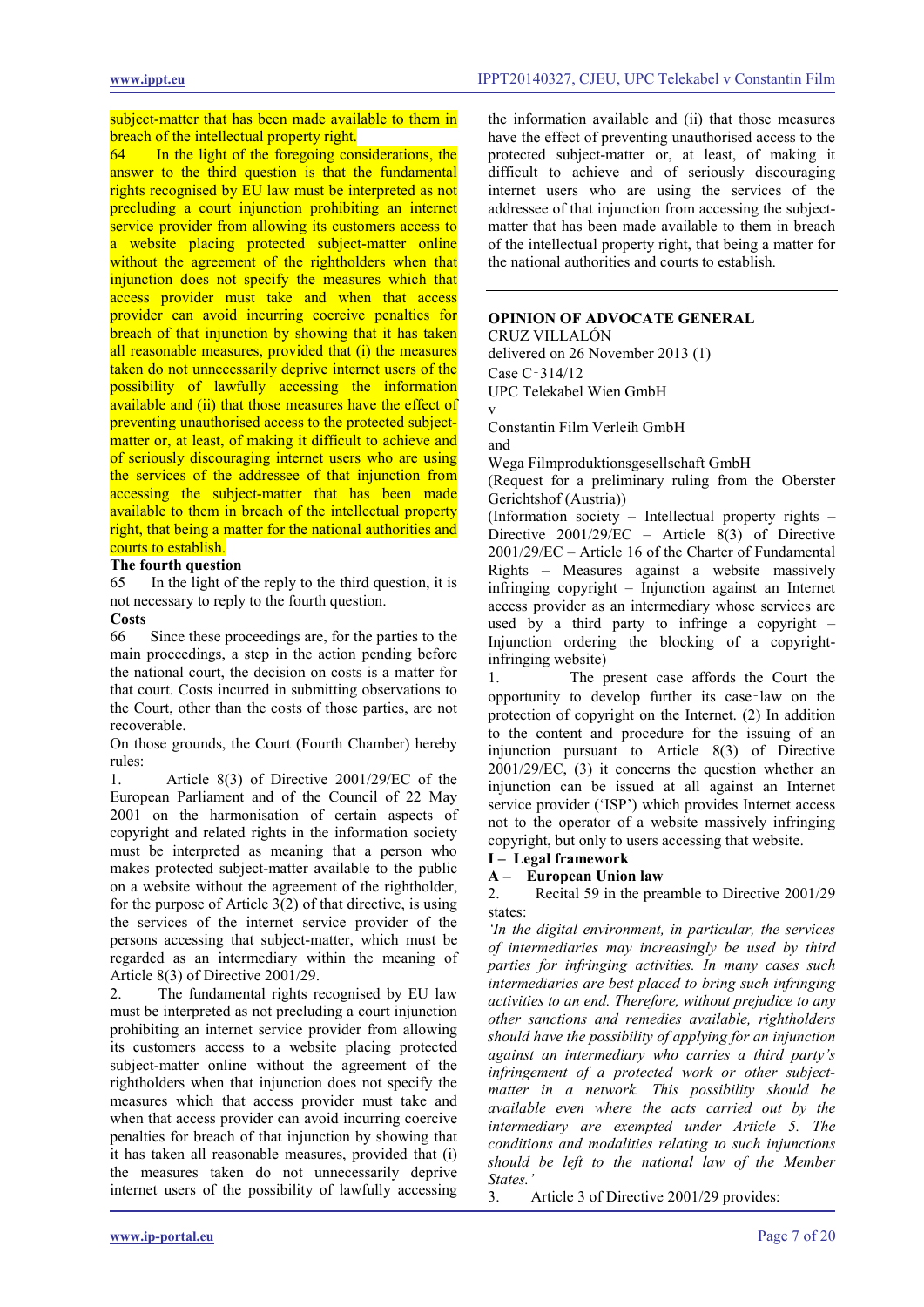subject-matter that has been made available to them in breach of the intellectual property right.<br>64 In the light of the foregoing con

In the light of the foregoing considerations, the answer to the third question is that the fundamental rights recognised by EU law must be interpreted as not precluding a court injunction prohibiting an internet service provider from allowing its customers access to a website placing protected subject-matter online without the agreement of the rightholders when that injunction does not specify the measures which that access provider must take and when that access provider can avoid incurring coercive penalties for breach of that injunction by showing that it has taken all reasonable measures, provided that (i) the measures taken do not unnecessarily deprive internet users of the possibility of lawfully accessing the information available and (ii) that those measures have the effect of preventing unauthorised access to the protected subjectmatter or, at least, of making it difficult to achieve and of seriously discouraging internet users who are using the services of the addressee of that injunction from accessing the subject-matter that has been made available to them in breach of the intellectual property right, that being a matter for the national authorities and courts to establish.

# **The fourth question**

65 In the light of the reply to the third question, it is not necessary to reply to the fourth question.

# Costs<br>66

Since these proceedings are, for the parties to the main proceedings, a step in the action pending before the national court, the decision on costs is a matter for that court. Costs incurred in submitting observations to the Court, other than the costs of those parties, are not recoverable.

On those grounds, the Court (Fourth Chamber) hereby rules:

1. Article 8(3) of Directive 2001/29/EC of the European Parliament and of the Council of 22 May 2001 on the harmonisation of certain aspects of copyright and related rights in the information society must be interpreted as meaning that a person who makes protected subject-matter available to the public on a website without the agreement of the rightholder, for the purpose of Article 3(2) of that directive, is using the services of the internet service provider of the persons accessing that subject-matter, which must be regarded as an intermediary within the meaning of Article 8(3) of Directive 2001/29.

The fundamental rights recognised by EU law must be interpreted as not precluding a court injunction prohibiting an internet service provider from allowing its customers access to a website placing protected subject-matter online without the agreement of the rightholders when that injunction does not specify the measures which that access provider must take and when that access provider can avoid incurring coercive penalties for breach of that injunction by showing that it has taken all reasonable measures, provided that (i) the measures taken do not unnecessarily deprive internet users of the possibility of lawfully accessing the information available and (ii) that those measures have the effect of preventing unauthorised access to the protected subject-matter or, at least, of making it difficult to achieve and of seriously discouraging internet users who are using the services of the addressee of that injunction from accessing the subjectmatter that has been made available to them in breach of the intellectual property right, that being a matter for the national authorities and courts to establish.

#### **OPINION OF ADVOCATE GENERAL**

CRUZ VILLALÓN delivered on 26 November 2013 (1) Case C‑314/12 UPC Telekabel Wien GmbH v

Constantin Film Verleih GmbH and

Wega Filmproduktionsgesellschaft GmbH

(Request for a preliminary ruling from the Oberster Gerichtshof (Austria))

(Information society – Intellectual property rights – Directive 2001/29/EC – Article 8(3) of Directive 2001/29/EC – Article 16 of the Charter of Fundamental Rights – Measures against a website massively infringing copyright – Injunction against an Internet access provider as an intermediary whose services are used by a third party to infringe a copyright – Injunction ordering the blocking of a copyrightinfringing website)

1. The present case affords the Court the opportunity to develop further its case‑law on the protection of copyright on the Internet. (2) In addition to the content and procedure for the issuing of an injunction pursuant to Article 8(3) of Directive 2001/29/EC, (3) it concerns the question whether an injunction can be issued at all against an Internet service provider ('ISP') which provides Internet access not to the operator of a website massively infringing copyright, but only to users accessing that website.

#### **I – Legal framework**

#### **A – European Union law**

2. Recital 59 in the preamble to Directive 2001/29 states:

*'In the digital environment, in particular, the services of intermediaries may increasingly be used by third parties for infringing activities. In many cases such intermediaries are best placed to bring such infringing activities to an end. Therefore, without prejudice to any other sanctions and remedies available, rightholders should have the possibility of applying for an injunction against an intermediary who carries a third party's infringement of a protected work or other subjectmatter in a network. This possibility should be available even where the acts carried out by the intermediary are exempted under Article 5. The conditions and modalities relating to such injunctions should be left to the national law of the Member States.'*

3. Article 3 of Directive 2001/29 provides: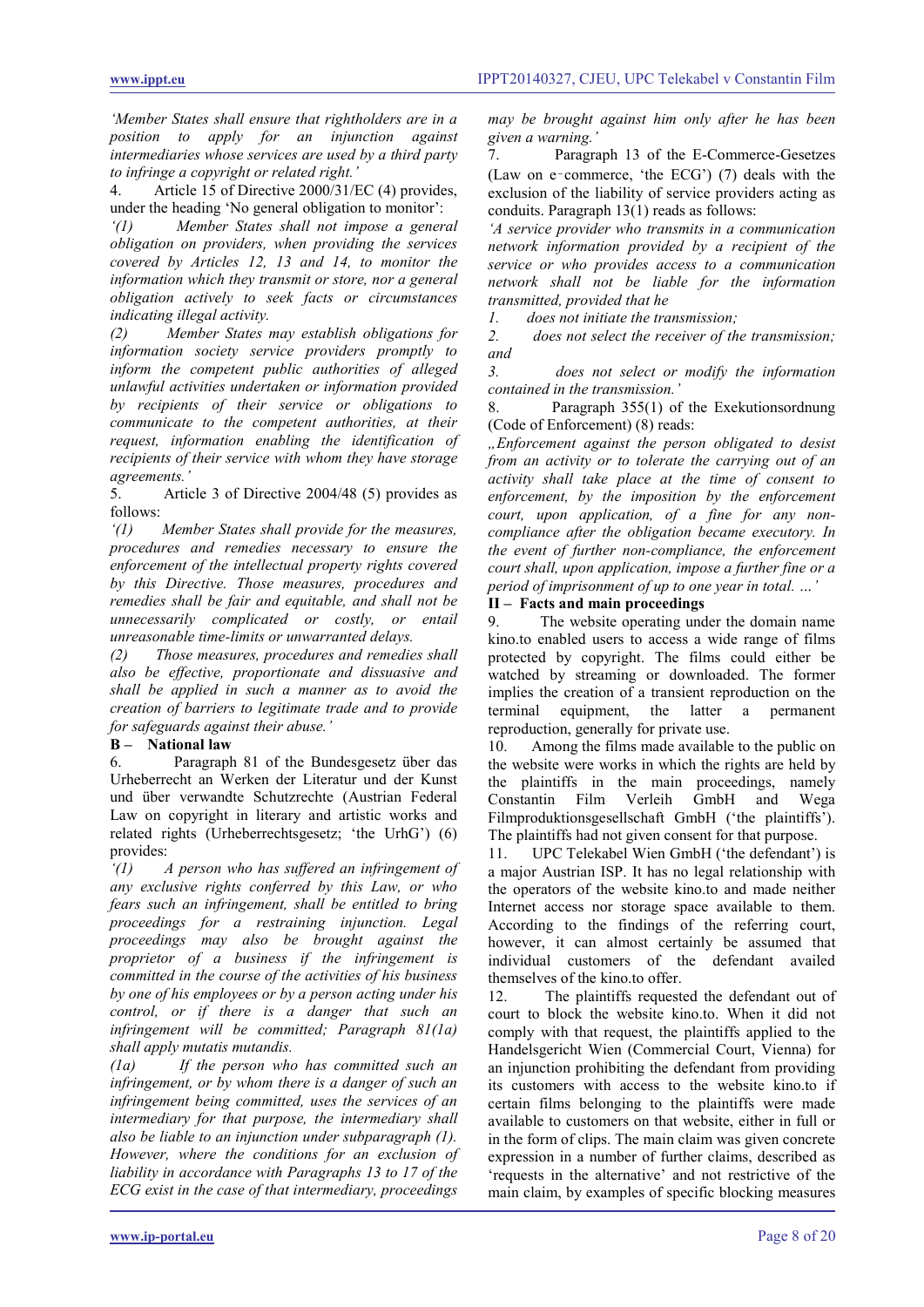*'Member States shall ensure that rightholders are in a position to apply for an injunction against intermediaries whose services are used by a third party to infringe a copyright or related right.'*

4. Article 15 of Directive 2000/31/EC (4) provides, under the heading 'No general obligation to monitor':

*'(1) Member States shall not impose a general obligation on providers, when providing the services covered by Articles 12, 13 and 14, to monitor the information which they transmit or store, nor a general obligation actively to seek facts or circumstances indicating illegal activity.*

*(2) Member States may establish obligations for information society service providers promptly to inform the competent public authorities of alleged unlawful activities undertaken or information provided by recipients of their service or obligations to communicate to the competent authorities, at their request, information enabling the identification of recipients of their service with whom they have storage* 

*agreements.'* Article 3 of Directive 2004/48 (5) provides as follows:

*'(1) Member States shall provide for the measures, procedures and remedies necessary to ensure the enforcement of the intellectual property rights covered by this Directive. Those measures, procedures and remedies shall be fair and equitable, and shall not be unnecessarily complicated or costly, or entail unreasonable time-limits or unwarranted delays.* 

*(2) Those measures, procedures and remedies shall also be effective, proportionate and dissuasive and shall be applied in such a manner as to avoid the creation of barriers to legitimate trade and to provide for safeguards against their abuse.'* 

#### **B – National law**

6. Paragraph 81 of the Bundesgesetz über das Urheberrecht an Werken der Literatur und der Kunst und über verwandte Schutzrechte (Austrian Federal Law on copyright in literary and artistic works and related rights (Urheberrechtsgesetz; 'the UrhG') (6) provides:

*'(1) A person who has suffered an infringement of any exclusive rights conferred by this Law, or who fears such an infringement, shall be entitled to bring proceedings for a restraining injunction. Legal proceedings may also be brought against the proprietor of a business if the infringement is committed in the course of the activities of his business by one of his employees or by a person acting under his control, or if there is a danger that such an infringement will be committed; Paragraph 81(1a) shall apply mutatis mutandis.*

*(1a) If the person who has committed such an infringement, or by whom there is a danger of such an infringement being committed, uses the services of an intermediary for that purpose, the intermediary shall also be liable to an injunction under subparagraph (1). However, where the conditions for an exclusion of liability in accordance with Paragraphs 13 to 17 of the ECG exist in the case of that intermediary, proceedings* 

*may be brought against him only after he has been given a warning.'*

7. Paragraph 13 of the E-Commerce-Gesetzes (Law on e‑commerce, 'the ECG') (7) deals with the exclusion of the liability of service providers acting as conduits. Paragraph 13(1) reads as follows:

*'A service provider who transmits in a communication network information provided by a recipient of the service or who provides access to a communication network shall not be liable for the information transmitted, provided that he* 

*1. does not initiate the transmission;*

*2. does not select the receiver of the transmission; and*

*3. does not select or modify the information contained in the transmission.'*

8. Paragraph 355(1) of the Exekutionsordnung (Code of Enforcement) (8) reads:

*"Enforcement against the person obligated to desist from an activity or to tolerate the carrying out of an activity shall take place at the time of consent to enforcement, by the imposition by the enforcement court, upon application, of a fine for any noncompliance after the obligation became executory. In the event of further non-compliance, the enforcement court shall, upon application, impose a further fine or a period of imprisonment of up to one year in total. …'*

#### **II – Facts and main proceedings**

9. The website operating under the domain name kino.to enabled users to access a wide range of films protected by copyright. The films could either be watched by streaming or downloaded. The former implies the creation of a transient reproduction on the terminal equipment, the latter a permanent reproduction, generally for private use.

10. Among the films made available to the public on the website were works in which the rights are held by the plaintiffs in the main proceedings, namely Constantin Film Verleih GmbH and Wega Filmproduktionsgesellschaft GmbH ('the plaintiffs'). The plaintiffs had not given consent for that purpose.

11. UPC Telekabel Wien GmbH ('the defendant') is a major Austrian ISP. It has no legal relationship with the operators of the website kino.to and made neither Internet access nor storage space available to them. According to the findings of the referring court, however, it can almost certainly be assumed that individual customers of the defendant availed themselves of the kino.to offer.

12. The plaintiffs requested the defendant out of court to block the website kino.to. When it did not comply with that request, the plaintiffs applied to the Handelsgericht Wien (Commercial Court, Vienna) for an injunction prohibiting the defendant from providing its customers with access to the website kino.to if certain films belonging to the plaintiffs were made available to customers on that website, either in full or in the form of clips. The main claim was given concrete expression in a number of further claims, described as 'requests in the alternative' and not restrictive of the main claim, by examples of specific blocking measures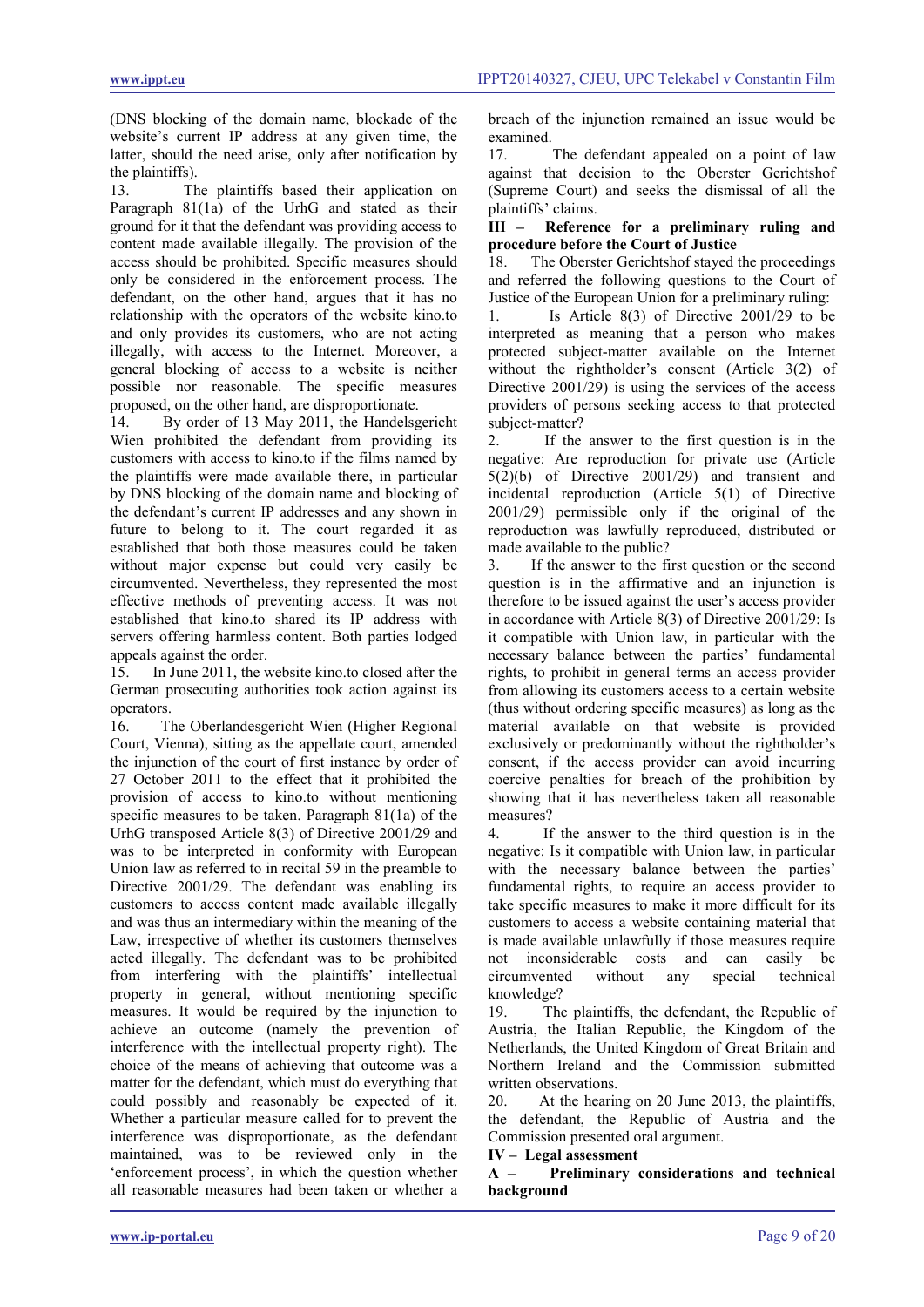(DNS blocking of the domain name, blockade of the website's current IP address at any given time, the latter, should the need arise, only after notification by the plaintiffs).

13. The plaintiffs based their application on Paragraph 81(1a) of the UrhG and stated as their ground for it that the defendant was providing access to content made available illegally. The provision of the access should be prohibited. Specific measures should only be considered in the enforcement process. The defendant, on the other hand, argues that it has no relationship with the operators of the website kino.to and only provides its customers, who are not acting illegally, with access to the Internet. Moreover, a general blocking of access to a website is neither possible nor reasonable. The specific measures proposed, on the other hand, are disproportionate.

14. By order of 13 May 2011, the Handelsgericht Wien prohibited the defendant from providing its customers with access to kino.to if the films named by the plaintiffs were made available there, in particular by DNS blocking of the domain name and blocking of the defendant's current IP addresses and any shown in future to belong to it. The court regarded it as established that both those measures could be taken without major expense but could very easily be circumvented. Nevertheless, they represented the most effective methods of preventing access. It was not established that kino.to shared its IP address with servers offering harmless content. Both parties lodged appeals against the order.

15. In June 2011, the website kino.to closed after the German prosecuting authorities took action against its operators.

16. The Oberlandesgericht Wien (Higher Regional Court, Vienna), sitting as the appellate court, amended the injunction of the court of first instance by order of 27 October 2011 to the effect that it prohibited the provision of access to kino.to without mentioning specific measures to be taken. Paragraph 81(1a) of the UrhG transposed Article 8(3) of Directive 2001/29 and was to be interpreted in conformity with European Union law as referred to in recital 59 in the preamble to Directive 2001/29. The defendant was enabling its customers to access content made available illegally and was thus an intermediary within the meaning of the Law, irrespective of whether its customers themselves acted illegally. The defendant was to be prohibited from interfering with the plaintiffs' intellectual property in general, without mentioning specific measures. It would be required by the injunction to achieve an outcome (namely the prevention of interference with the intellectual property right). The choice of the means of achieving that outcome was a matter for the defendant, which must do everything that could possibly and reasonably be expected of it. Whether a particular measure called for to prevent the interference was disproportionate, as the defendant maintained, was to be reviewed only in the 'enforcement process', in which the question whether all reasonable measures had been taken or whether a

breach of the injunction remained an issue would be examined.

The defendant appealed on a point of law against that decision to the Oberster Gerichtshof (Supreme Court) and seeks the dismissal of all the plaintiffs' claims.

#### **III – Reference for a preliminary ruling and procedure before the Court of Justice**

18. The Oberster Gerichtshof stayed the proceedings and referred the following questions to the Court of Justice of the European Union for a preliminary ruling:

1. Is Article 8(3) of Directive 2001/29 to be interpreted as meaning that a person who makes protected subject-matter available on the Internet without the rightholder's consent (Article 3(2) of Directive 2001/29) is using the services of the access providers of persons seeking access to that protected subject-matter?

2. If the answer to the first question is in the negative: Are reproduction for private use (Article 5(2)(b) of Directive 2001/29) and transient and incidental reproduction (Article 5(1) of Directive 2001/29) permissible only if the original of the reproduction was lawfully reproduced, distributed or made available to the public?

3. If the answer to the first question or the second question is in the affirmative and an injunction is therefore to be issued against the user's access provider in accordance with Article 8(3) of Directive 2001/29: Is it compatible with Union law, in particular with the necessary balance between the parties' fundamental rights, to prohibit in general terms an access provider from allowing its customers access to a certain website (thus without ordering specific measures) as long as the material available on that website is provided exclusively or predominantly without the rightholder's consent, if the access provider can avoid incurring coercive penalties for breach of the prohibition by showing that it has nevertheless taken all reasonable measures?

4. If the answer to the third question is in the negative: Is it compatible with Union law, in particular with the necessary balance between the parties' fundamental rights, to require an access provider to take specific measures to make it more difficult for its customers to access a website containing material that is made available unlawfully if those measures require not inconsiderable costs and can easily be circumvented without any special technical circumvented without any special technical knowledge?

19. The plaintiffs, the defendant, the Republic of Austria, the Italian Republic, the Kingdom of the Netherlands, the United Kingdom of Great Britain and Northern Ireland and the Commission submitted written observations.

20. At the hearing on 20 June 2013, the plaintiffs, the defendant, the Republic of Austria and the Commission presented oral argument.

# **IV – Legal assessment**

**A – Preliminary considerations and technical background**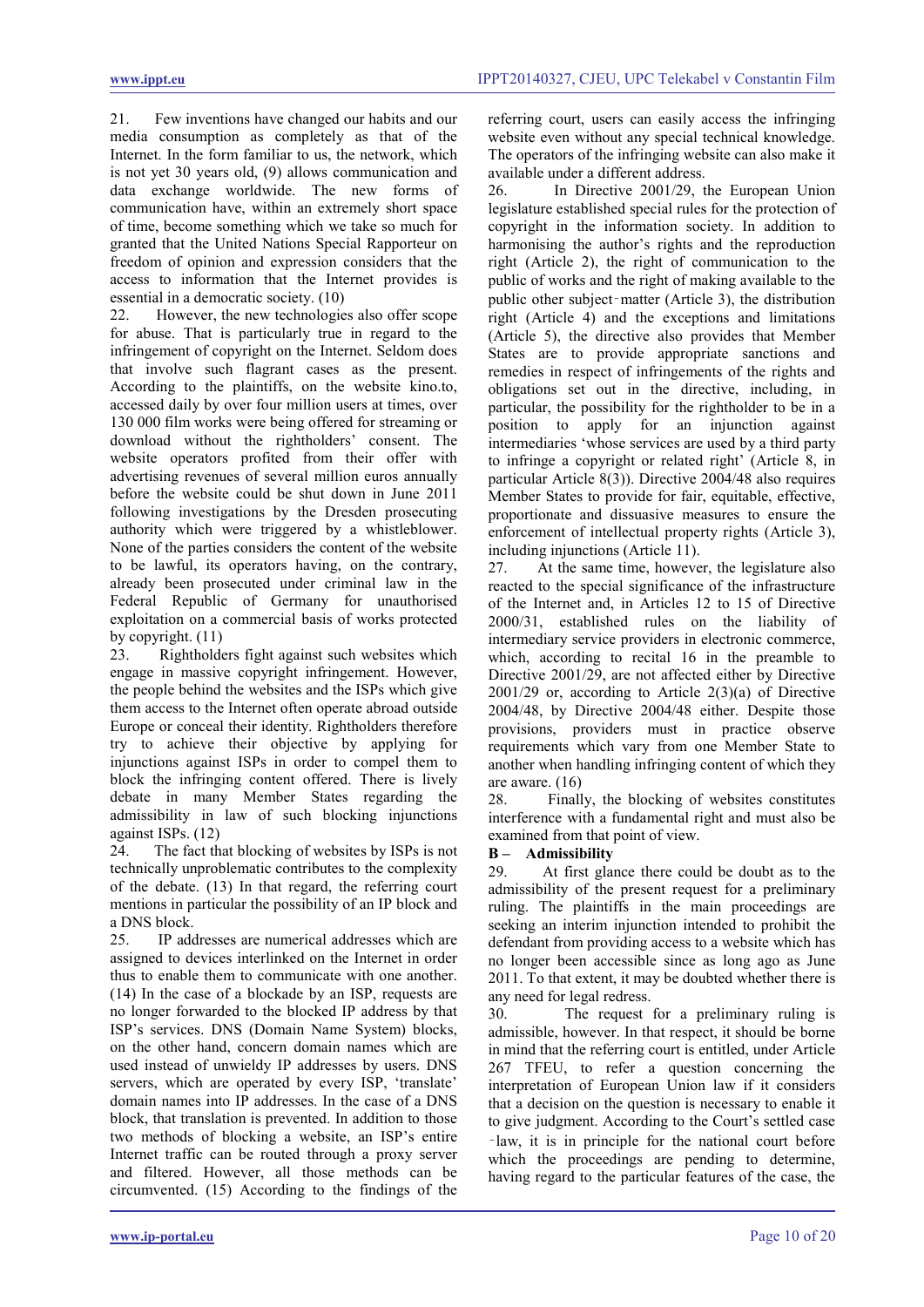21. Few inventions have changed our habits and our media consumption as completely as that of the Internet. In the form familiar to us, the network, which is not yet 30 years old, (9) allows communication and data exchange worldwide. The new forms of communication have, within an extremely short space of time, become something which we take so much for granted that the United Nations Special Rapporteur on freedom of opinion and expression considers that the access to information that the Internet provides is essential in a democratic society. (10)<br>22 However the new technologie

However, the new technologies also offer scope for abuse. That is particularly true in regard to the infringement of copyright on the Internet. Seldom does that involve such flagrant cases as the present. According to the plaintiffs, on the website kino.to, accessed daily by over four million users at times, over 130 000 film works were being offered for streaming or download without the rightholders' consent. The website operators profited from their offer with advertising revenues of several million euros annually before the website could be shut down in June 2011 following investigations by the Dresden prosecuting authority which were triggered by a whistleblower. None of the parties considers the content of the website to be lawful, its operators having, on the contrary, already been prosecuted under criminal law in the Federal Republic of Germany for unauthorised exploitation on a commercial basis of works protected by copyright. (11)

23. Rightholders fight against such websites which engage in massive copyright infringement. However, the people behind the websites and the ISPs which give them access to the Internet often operate abroad outside Europe or conceal their identity. Rightholders therefore try to achieve their objective by applying for injunctions against ISPs in order to compel them to block the infringing content offered. There is lively debate in many Member States regarding the admissibility in law of such blocking injunctions against ISPs. (12)

24. The fact that blocking of websites by ISPs is not technically unproblematic contributes to the complexity of the debate. (13) In that regard, the referring court mentions in particular the possibility of an IP block and a DNS block.

25. IP addresses are numerical addresses which are assigned to devices interlinked on the Internet in order thus to enable them to communicate with one another. (14) In the case of a blockade by an ISP, requests are no longer forwarded to the blocked IP address by that ISP's services. DNS (Domain Name System) blocks, on the other hand, concern domain names which are used instead of unwieldy IP addresses by users. DNS servers, which are operated by every ISP, 'translate' domain names into IP addresses. In the case of a DNS block, that translation is prevented. In addition to those two methods of blocking a website, an ISP's entire Internet traffic can be routed through a proxy server and filtered. However, all those methods can be circumvented. (15) According to the findings of the referring court, users can easily access the infringing website even without any special technical knowledge. The operators of the infringing website can also make it available under a different address.

26. In Directive 2001/29, the European Union legislature established special rules for the protection of copyright in the information society. In addition to harmonising the author's rights and the reproduction right (Article 2), the right of communication to the public of works and the right of making available to the public other subject‑matter (Article 3), the distribution right (Article 4) and the exceptions and limitations (Article 5), the directive also provides that Member States are to provide appropriate sanctions and remedies in respect of infringements of the rights and obligations set out in the directive, including, in particular, the possibility for the rightholder to be in a position to apply for an injunction against intermediaries 'whose services are used by a third party to infringe a copyright or related right' (Article 8, in particular Article 8(3)). Directive 2004/48 also requires Member States to provide for fair, equitable, effective, proportionate and dissuasive measures to ensure the enforcement of intellectual property rights (Article 3), including injunctions (Article 11).

27. At the same time, however, the legislature also reacted to the special significance of the infrastructure of the Internet and, in Articles 12 to 15 of Directive 2000/31, established rules on the liability of intermediary service providers in electronic commerce, which, according to recital 16 in the preamble to Directive 2001/29, are not affected either by Directive  $2001/29$  or, according to Article  $2(3)(a)$  of Directive 2004/48, by Directive 2004/48 either. Despite those provisions, providers must in practice observe requirements which vary from one Member State to another when handling infringing content of which they are aware. (16)

28. Finally, the blocking of websites constitutes interference with a fundamental right and must also be examined from that point of view.

# **B – Admissibility**

29. At first glance there could be doubt as to the admissibility of the present request for a preliminary ruling. The plaintiffs in the main proceedings are seeking an interim injunction intended to prohibit the defendant from providing access to a website which has no longer been accessible since as long ago as June 2011. To that extent, it may be doubted whether there is any need for legal redress.

30. The request for a preliminary ruling is admissible, however. In that respect, it should be borne in mind that the referring court is entitled, under Article 267 TFEU, to refer a question concerning the interpretation of European Union law if it considers that a decision on the question is necessary to enable it to give judgment. According to the Court's settled case ‑law, it is in principle for the national court before which the proceedings are pending to determine, having regard to the particular features of the case, the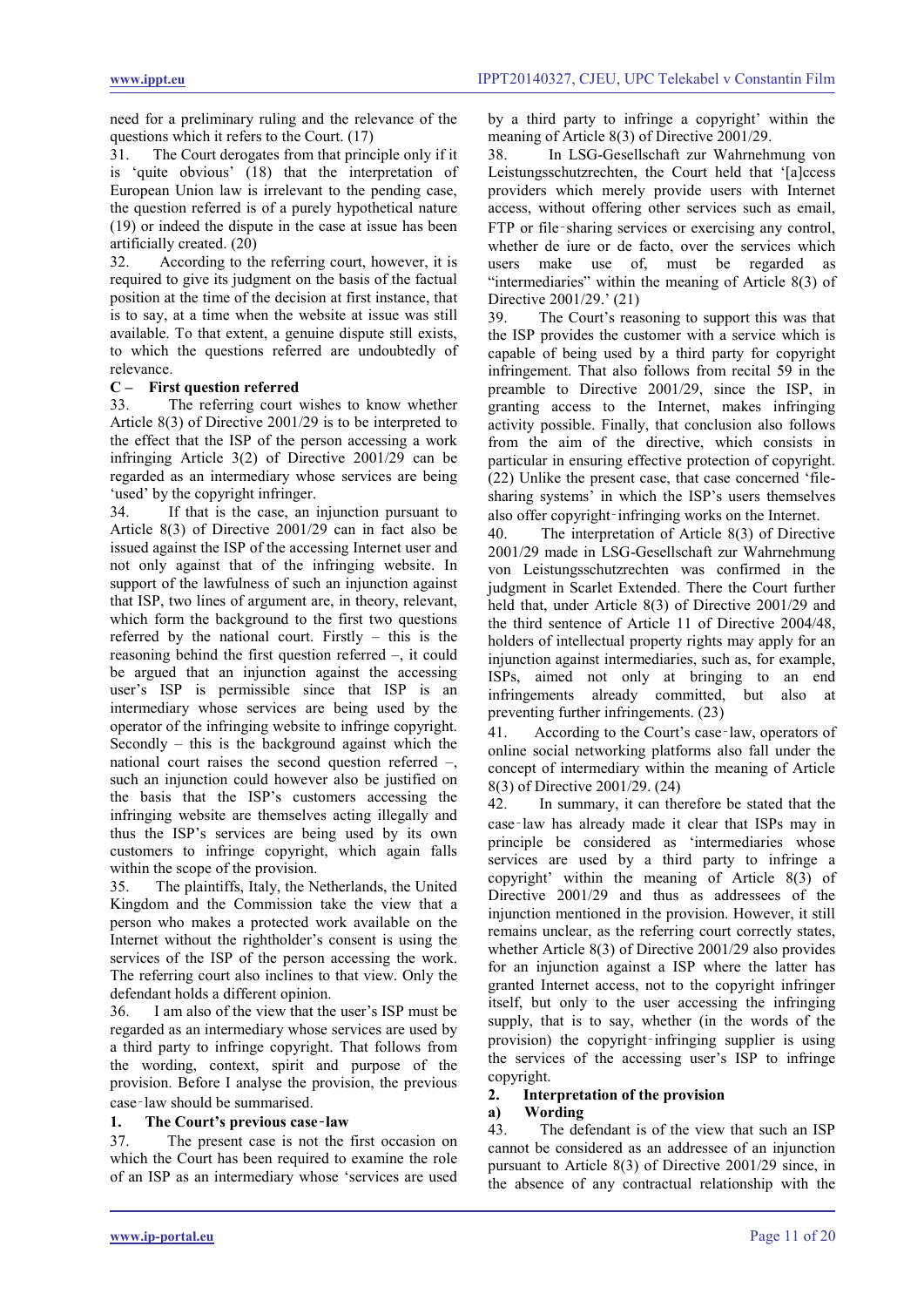need for a preliminary ruling and the relevance of the questions which it refers to the Court. (17)

31. The Court derogates from that principle only if it is 'quite obvious' (18) that the interpretation of European Union law is irrelevant to the pending case, the question referred is of a purely hypothetical nature (19) or indeed the dispute in the case at issue has been artificially created.  $(20)$ <br>32 According to the

According to the referring court, however, it is required to give its judgment on the basis of the factual position at the time of the decision at first instance, that is to say, at a time when the website at issue was still available. To that extent, a genuine dispute still exists, to which the questions referred are undoubtedly of relevance.

# **C – First question referred**

33. The referring court wishes to know whether Article 8(3) of Directive 2001/29 is to be interpreted to the effect that the ISP of the person accessing a work infringing Article 3(2) of Directive 2001/29 can be regarded as an intermediary whose services are being 'used' by the copyright infringer.

34. If that is the case, an injunction pursuant to Article 8(3) of Directive 2001/29 can in fact also be issued against the ISP of the accessing Internet user and not only against that of the infringing website. In support of the lawfulness of such an injunction against that ISP, two lines of argument are, in theory, relevant, which form the background to the first two questions referred by the national court. Firstly – this is the reasoning behind the first question referred –, it could be argued that an injunction against the accessing user's ISP is permissible since that ISP is an intermediary whose services are being used by the operator of the infringing website to infringe copyright. Secondly – this is the background against which the national court raises the second question referred –, such an injunction could however also be justified on the basis that the ISP's customers accessing the infringing website are themselves acting illegally and thus the ISP's services are being used by its own customers to infringe copyright, which again falls within the scope of the provision.

35. The plaintiffs, Italy, the Netherlands, the United Kingdom and the Commission take the view that a person who makes a protected work available on the Internet without the rightholder's consent is using the services of the ISP of the person accessing the work. The referring court also inclines to that view. Only the defendant holds a different opinion.

36. I am also of the view that the user's ISP must be regarded as an intermediary whose services are used by a third party to infringe copyright. That follows from the wording, context, spirit and purpose of the provision. Before I analyse the provision, the previous case‑law should be summarised.

# **1. The Court's previous case**‑**law**

37. The present case is not the first occasion on which the Court has been required to examine the role of an ISP as an intermediary whose 'services are used by a third party to infringe a copyright' within the meaning of Article 8(3) of Directive 2001/29.

38. In LSG-Gesellschaft zur Wahrnehmung von Leistungsschutzrechten, the Court held that '[a]ccess providers which merely provide users with Internet access, without offering other services such as email, FTP or file-sharing services or exercising any control, whether de iure or de facto, over the services which users make use of, must be regarded as "intermediaries" within the meaning of Article 8(3) of Directive 2001/29.' (21)

39. The Court's reasoning to support this was that the ISP provides the customer with a service which is capable of being used by a third party for copyright infringement. That also follows from recital 59 in the preamble to Directive 2001/29, since the ISP, in granting access to the Internet, makes infringing activity possible. Finally, that conclusion also follows from the aim of the directive, which consists in particular in ensuring effective protection of copyright. (22) Unlike the present case, that case concerned 'filesharing systems' in which the ISP's users themselves also offer copyright-infringing works on the Internet.

40. The interpretation of Article 8(3) of Directive 2001/29 made in LSG-Gesellschaft zur Wahrnehmung von Leistungsschutzrechten was confirmed in the judgment in Scarlet Extended. There the Court further held that, under Article 8(3) of Directive 2001/29 and the third sentence of Article 11 of Directive 2004/48, holders of intellectual property rights may apply for an injunction against intermediaries, such as, for example, ISPs, aimed not only at bringing to an end infringements already committed, but also at preventing further infringements. (23)

41. According to the Court's case‑law, operators of online social networking platforms also fall under the concept of intermediary within the meaning of Article 8(3) of Directive 2001/29. (24)

42. In summary, it can therefore be stated that the case‑law has already made it clear that ISPs may in principle be considered as 'intermediaries whose services are used by a third party to infringe a copyright' within the meaning of Article 8(3) of Directive 2001/29 and thus as addressees of the injunction mentioned in the provision. However, it still remains unclear, as the referring court correctly states, whether Article 8(3) of Directive 2001/29 also provides for an injunction against a ISP where the latter has granted Internet access, not to the copyright infringer itself, but only to the user accessing the infringing supply, that is to say, whether (in the words of the provision) the copyright‑infringing supplier is using the services of the accessing user's ISP to infringe copyright.

# **2. Interpretation of the provision**

# **a) Wording**

43. The defendant is of the view that such an ISP cannot be considered as an addressee of an injunction pursuant to Article 8(3) of Directive 2001/29 since, in the absence of any contractual relationship with the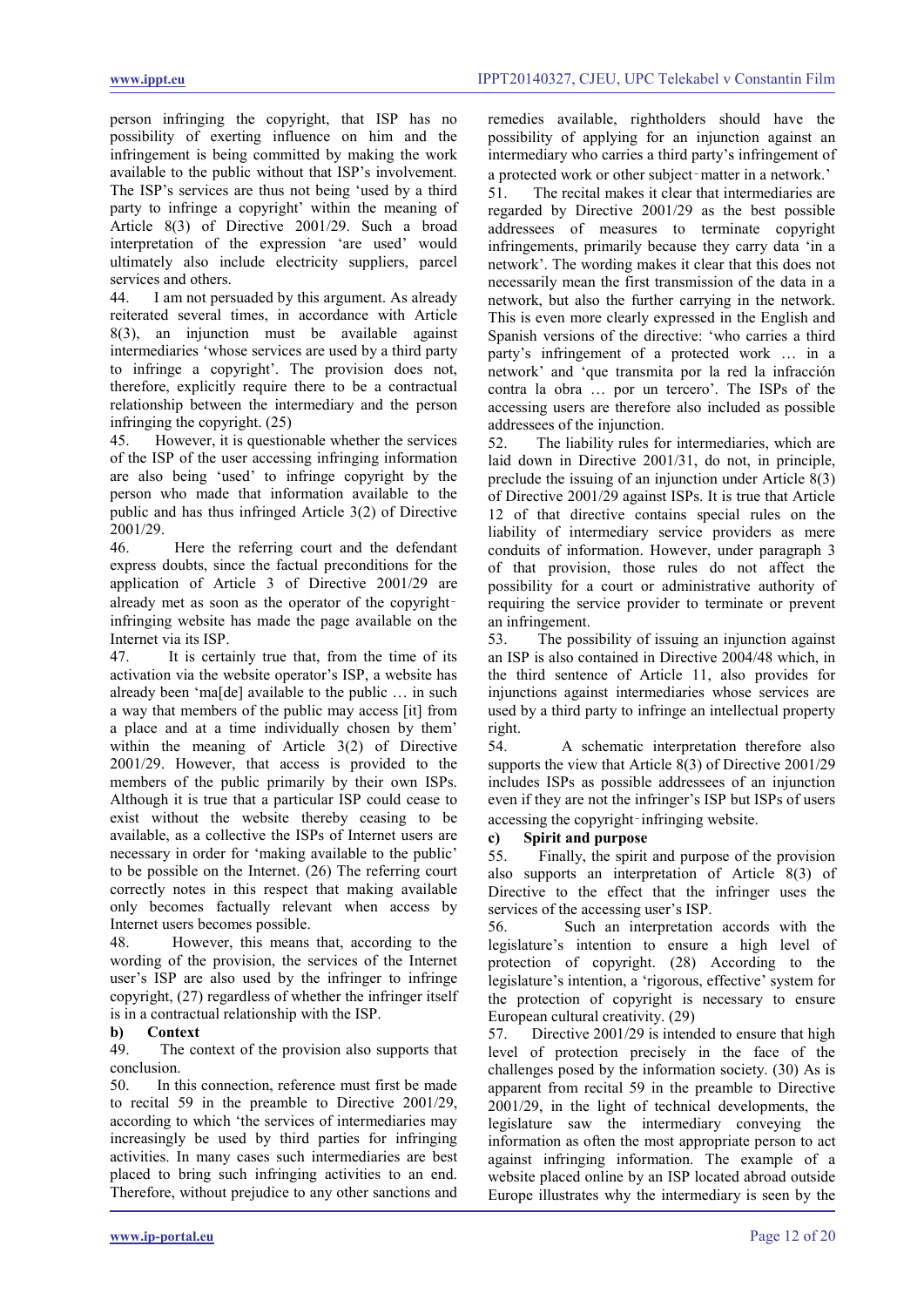person infringing the copyright, that ISP has no possibility of exerting influence on him and the infringement is being committed by making the work available to the public without that ISP's involvement. The ISP's services are thus not being 'used by a third party to infringe a copyright' within the meaning of Article 8(3) of Directive 2001/29. Such a broad interpretation of the expression 'are used' would ultimately also include electricity suppliers, parcel services and others.<br>44. I am not pers

I am not persuaded by this argument. As already reiterated several times, in accordance with Article 8(3), an injunction must be available against intermediaries 'whose services are used by a third party to infringe a copyright'. The provision does not, therefore, explicitly require there to be a contractual relationship between the intermediary and the person infringing the copyright. (25)

45. However, it is questionable whether the services of the ISP of the user accessing infringing information are also being 'used' to infringe copyright by the person who made that information available to the public and has thus infringed Article 3(2) of Directive 2001/29.

46. Here the referring court and the defendant express doubts, since the factual preconditions for the application of Article 3 of Directive 2001/29 are already met as soon as the operator of the copyrightinfringing website has made the page available on the Internet via its ISP.

47. It is certainly true that, from the time of its activation via the website operator's ISP, a website has already been 'ma[de] available to the public … in such a way that members of the public may access [it] from a place and at a time individually chosen by them' within the meaning of Article 3(2) of Directive 2001/29. However, that access is provided to the members of the public primarily by their own ISPs. Although it is true that a particular ISP could cease to exist without the website thereby ceasing to be available, as a collective the ISPs of Internet users are necessary in order for 'making available to the public' to be possible on the Internet. (26) The referring court correctly notes in this respect that making available only becomes factually relevant when access by Internet users becomes possible.

48. However, this means that, according to the wording of the provision, the services of the Internet user's ISP are also used by the infringer to infringe copyright, (27) regardless of whether the infringer itself is in a contractual relationship with the ISP.

# **b) Context**

49. The context of the provision also supports that conclusion.

50. In this connection, reference must first be made to recital 59 in the preamble to Directive 2001/29, according to which 'the services of intermediaries may increasingly be used by third parties for infringing activities. In many cases such intermediaries are best placed to bring such infringing activities to an end. Therefore, without prejudice to any other sanctions and remedies available, rightholders should have the possibility of applying for an injunction against an intermediary who carries a third party's infringement of a protected work or other subject‑matter in a network.'

51. The recital makes it clear that intermediaries are regarded by Directive 2001/29 as the best possible addressees of measures to terminate copyright infringements, primarily because they carry data 'in a network'. The wording makes it clear that this does not necessarily mean the first transmission of the data in a network, but also the further carrying in the network. This is even more clearly expressed in the English and Spanish versions of the directive: 'who carries a third party's infringement of a protected work … in a network' and 'que transmita por la red la infracción contra la obra … por un tercero'. The ISPs of the accessing users are therefore also included as possible addressees of the injunction.

52. The liability rules for intermediaries, which are laid down in Directive 2001/31, do not, in principle, preclude the issuing of an injunction under Article 8(3) of Directive 2001/29 against ISPs. It is true that Article 12 of that directive contains special rules on the liability of intermediary service providers as mere conduits of information. However, under paragraph 3 of that provision, those rules do not affect the possibility for a court or administrative authority of requiring the service provider to terminate or prevent an infringement.

53. The possibility of issuing an injunction against an ISP is also contained in Directive 2004/48 which, in the third sentence of Article 11, also provides for injunctions against intermediaries whose services are used by a third party to infringe an intellectual property right.<br>54.

54. A schematic interpretation therefore also supports the view that Article 8(3) of Directive 2001/29 includes ISPs as possible addressees of an injunction even if they are not the infringer's ISP but ISPs of users accessing the copyright–infringing website.

# **c) Spirit and purpose**

55. Finally, the spirit and purpose of the provision also supports an interpretation of Article 8(3) of Directive to the effect that the infringer uses the services of the accessing user's ISP.

56. Such an interpretation accords with the legislature's intention to ensure a high level of protection of copyright. (28) According to the legislature's intention, a 'rigorous, effective' system for the protection of copyright is necessary to ensure European cultural creativity. (29)

57. Directive 2001/29 is intended to ensure that high level of protection precisely in the face of the challenges posed by the information society. (30) As is apparent from recital 59 in the preamble to Directive 2001/29, in the light of technical developments, the legislature saw the intermediary conveying the information as often the most appropriate person to act against infringing information. The example of a website placed online by an ISP located abroad outside Europe illustrates why the intermediary is seen by the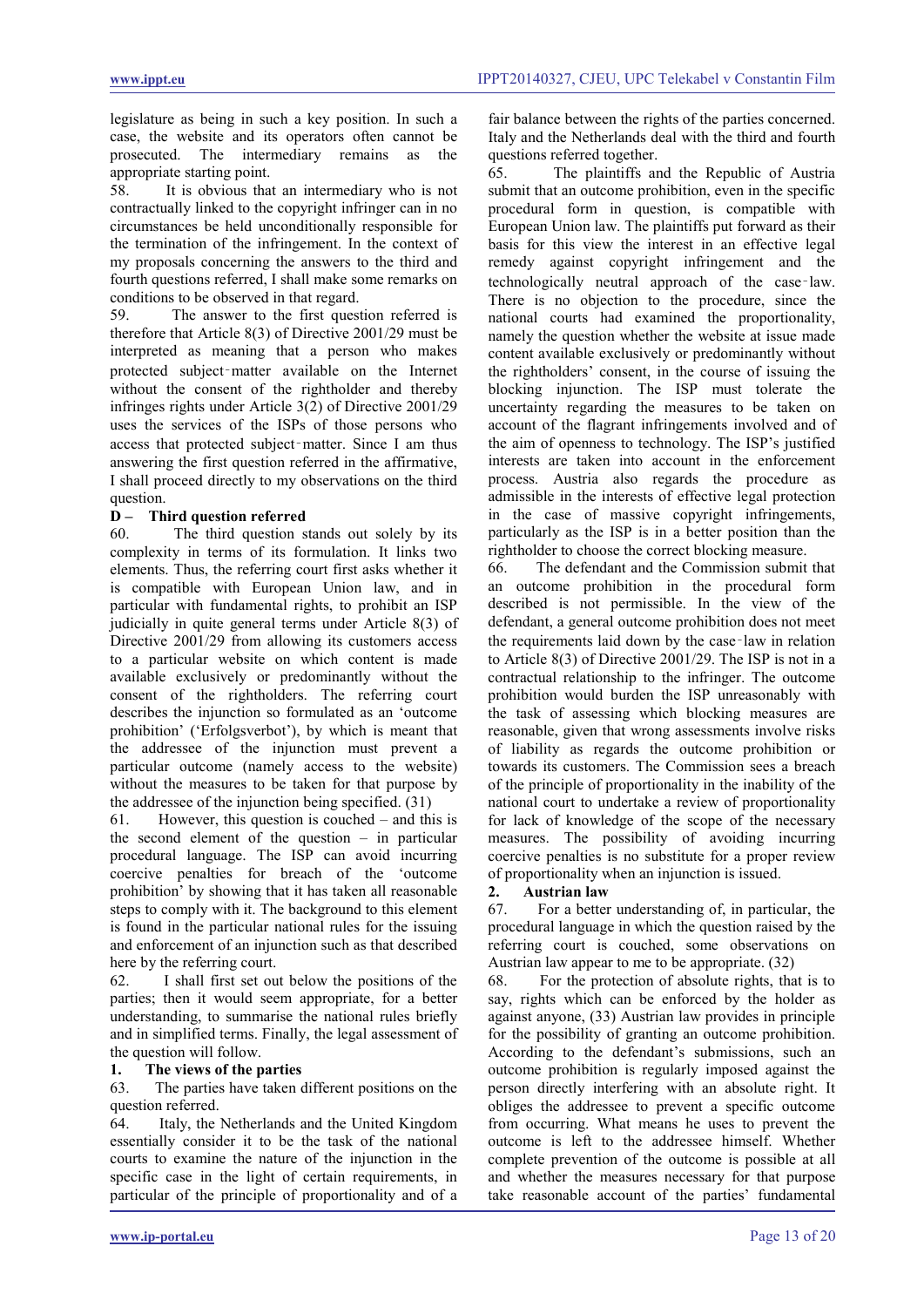legislature as being in such a key position. In such a case, the website and its operators often cannot be prosecuted. The intermediary remains as the appropriate starting point.

58. It is obvious that an intermediary who is not contractually linked to the copyright infringer can in no circumstances be held unconditionally responsible for the termination of the infringement. In the context of my proposals concerning the answers to the third and fourth questions referred, I shall make some remarks on conditions to be observed in that regard.<br>59 The answer to the first ques

The answer to the first question referred is therefore that Article 8(3) of Directive 2001/29 must be interpreted as meaning that a person who makes protected subject‑matter available on the Internet without the consent of the rightholder and thereby infringes rights under Article 3(2) of Directive 2001/29 uses the services of the ISPs of those persons who access that protected subject‑matter. Since I am thus answering the first question referred in the affirmative, I shall proceed directly to my observations on the third question.

# **D** – **Third question referred**<br>60 The third question s

The third question stands out solely by its complexity in terms of its formulation. It links two elements. Thus, the referring court first asks whether it is compatible with European Union law, and in particular with fundamental rights, to prohibit an ISP judicially in quite general terms under Article 8(3) of Directive 2001/29 from allowing its customers access to a particular website on which content is made available exclusively or predominantly without the consent of the rightholders. The referring court describes the injunction so formulated as an 'outcome prohibition' ('Erfolgsverbot'), by which is meant that the addressee of the injunction must prevent a particular outcome (namely access to the website) without the measures to be taken for that purpose by the addressee of the injunction being specified. (31)

61. However, this question is couched – and this is the second element of the question  $-$  in particular procedural language. The ISP can avoid incurring coercive penalties for breach of the 'outcome prohibition' by showing that it has taken all reasonable steps to comply with it. The background to this element is found in the particular national rules for the issuing and enforcement of an injunction such as that described here by the referring court.

62. I shall first set out below the positions of the parties; then it would seem appropriate, for a better understanding, to summarise the national rules briefly and in simplified terms. Finally, the legal assessment of the question will follow.

# **1. The views of the parties**

63. The parties have taken different positions on the question referred.

64. Italy, the Netherlands and the United Kingdom essentially consider it to be the task of the national courts to examine the nature of the injunction in the specific case in the light of certain requirements, in particular of the principle of proportionality and of a fair balance between the rights of the parties concerned. Italy and the Netherlands deal with the third and fourth questions referred together.

65. The plaintiffs and the Republic of Austria submit that an outcome prohibition, even in the specific procedural form in question, is compatible with European Union law. The plaintiffs put forward as their basis for this view the interest in an effective legal remedy against copyright infringement and the technologically neutral approach of the case‑law. There is no objection to the procedure, since the national courts had examined the proportionality, namely the question whether the website at issue made content available exclusively or predominantly without the rightholders' consent, in the course of issuing the blocking injunction. The ISP must tolerate the uncertainty regarding the measures to be taken on account of the flagrant infringements involved and of the aim of openness to technology. The ISP's justified interests are taken into account in the enforcement process. Austria also regards the procedure as admissible in the interests of effective legal protection in the case of massive copyright infringements, particularly as the ISP is in a better position than the rightholder to choose the correct blocking measure.

66. The defendant and the Commission submit that an outcome prohibition in the procedural form described is not permissible. In the view of the defendant, a general outcome prohibition does not meet the requirements laid down by the case‑law in relation to Article 8(3) of Directive 2001/29. The ISP is not in a contractual relationship to the infringer. The outcome prohibition would burden the ISP unreasonably with the task of assessing which blocking measures are reasonable, given that wrong assessments involve risks of liability as regards the outcome prohibition or towards its customers. The Commission sees a breach of the principle of proportionality in the inability of the national court to undertake a review of proportionality for lack of knowledge of the scope of the necessary measures. The possibility of avoiding incurring coercive penalties is no substitute for a proper review of proportionality when an injunction is issued.

# **2. Austrian law**

67. For a better understanding of, in particular, the procedural language in which the question raised by the referring court is couched, some observations on Austrian law appear to me to be appropriate. (32)

68. For the protection of absolute rights, that is to say, rights which can be enforced by the holder as against anyone, (33) Austrian law provides in principle for the possibility of granting an outcome prohibition. According to the defendant's submissions, such an outcome prohibition is regularly imposed against the person directly interfering with an absolute right. It obliges the addressee to prevent a specific outcome from occurring. What means he uses to prevent the outcome is left to the addressee himself. Whether complete prevention of the outcome is possible at all and whether the measures necessary for that purpose take reasonable account of the parties' fundamental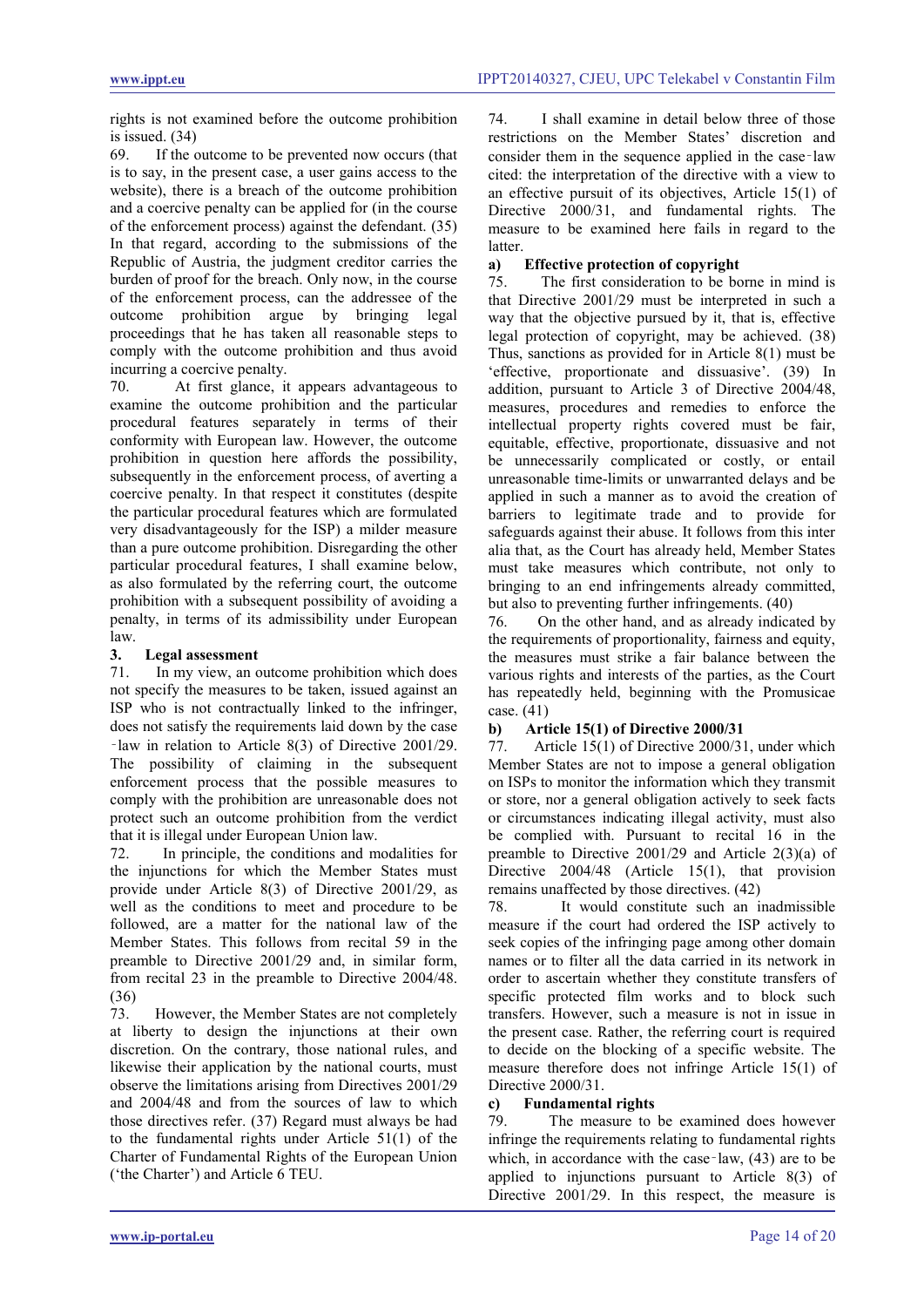rights is not examined before the outcome prohibition is issued.  $(34)$ <br>69 If the c

If the outcome to be prevented now occurs (that is to say, in the present case, a user gains access to the website), there is a breach of the outcome prohibition and a coercive penalty can be applied for (in the course of the enforcement process) against the defendant. (35) In that regard, according to the submissions of the Republic of Austria, the judgment creditor carries the burden of proof for the breach. Only now, in the course of the enforcement process, can the addressee of the outcome prohibition argue by bringing legal proceedings that he has taken all reasonable steps to comply with the outcome prohibition and thus avoid incurring a coercive penalty.

70. At first glance, it appears advantageous to examine the outcome prohibition and the particular procedural features separately in terms of their conformity with European law. However, the outcome prohibition in question here affords the possibility, subsequently in the enforcement process, of averting a coercive penalty. In that respect it constitutes (despite the particular procedural features which are formulated very disadvantageously for the ISP) a milder measure than a pure outcome prohibition. Disregarding the other particular procedural features, I shall examine below, as also formulated by the referring court, the outcome prohibition with a subsequent possibility of avoiding a penalty, in terms of its admissibility under European  $\frac{law}{3}$ .

# **3. Legal assessment**

71. In my view, an outcome prohibition which does not specify the measures to be taken, issued against an ISP who is not contractually linked to the infringer, does not satisfy the requirements laid down by the case ‑law in relation to Article 8(3) of Directive 2001/29. The possibility of claiming in the subsequent enforcement process that the possible measures to comply with the prohibition are unreasonable does not protect such an outcome prohibition from the verdict that it is illegal under European Union law.

72. In principle, the conditions and modalities for the injunctions for which the Member States must provide under Article 8(3) of Directive 2001/29, as well as the conditions to meet and procedure to be followed, are a matter for the national law of the Member States. This follows from recital 59 in the preamble to Directive 2001/29 and, in similar form, from recital 23 in the preamble to Directive 2004/48. (36)

73. However, the Member States are not completely at liberty to design the injunctions at their own discretion. On the contrary, those national rules, and likewise their application by the national courts, must observe the limitations arising from Directives 2001/29 and 2004/48 and from the sources of law to which those directives refer. (37) Regard must always be had to the fundamental rights under Article 51(1) of the Charter of Fundamental Rights of the European Union ('the Charter') and Article 6 TEU.

74. I shall examine in detail below three of those restrictions on the Member States' discretion and consider them in the sequence applied in the case‑law cited: the interpretation of the directive with a view to an effective pursuit of its objectives, Article 15(1) of Directive 2000/31, and fundamental rights. The measure to be examined here fails in regard to the **latter** 

# **a) Effective protection of copyright**

75. The first consideration to be borne in mind is that Directive 2001/29 must be interpreted in such a way that the objective pursued by it, that is, effective legal protection of copyright, may be achieved. (38) Thus, sanctions as provided for in Article 8(1) must be 'effective, proportionate and dissuasive'. (39) In addition, pursuant to Article 3 of Directive 2004/48, measures, procedures and remedies to enforce the intellectual property rights covered must be fair, equitable, effective, proportionate, dissuasive and not be unnecessarily complicated or costly, or entail unreasonable time-limits or unwarranted delays and be applied in such a manner as to avoid the creation of barriers to legitimate trade and to provide for safeguards against their abuse. It follows from this inter alia that, as the Court has already held, Member States must take measures which contribute, not only to bringing to an end infringements already committed, but also to preventing further infringements. (40)

76. On the other hand, and as already indicated by the requirements of proportionality, fairness and equity, the measures must strike a fair balance between the various rights and interests of the parties, as the Court has repeatedly held, beginning with the Promusicae case. (41)

# **b) Article 15(1) of Directive 2000/31**

77. Article 15(1) of Directive 2000/31, under which Member States are not to impose a general obligation on ISPs to monitor the information which they transmit or store, nor a general obligation actively to seek facts or circumstances indicating illegal activity, must also be complied with. Pursuant to recital 16 in the preamble to Directive 2001/29 and Article 2(3)(a) of Directive 2004/48 (Article 15(1), that provision remains unaffected by those directives. (42)

78. It would constitute such an inadmissible measure if the court had ordered the ISP actively to seek copies of the infringing page among other domain names or to filter all the data carried in its network in order to ascertain whether they constitute transfers of specific protected film works and to block such transfers. However, such a measure is not in issue in the present case. Rather, the referring court is required to decide on the blocking of a specific website. The measure therefore does not infringe Article 15(1) of Directive 2000/31.

# **c) Fundamental rights**

79. The measure to be examined does however infringe the requirements relating to fundamental rights which, in accordance with the case-law,  $(43)$  are to be applied to injunctions pursuant to Article 8(3) of Directive 2001/29. In this respect, the measure is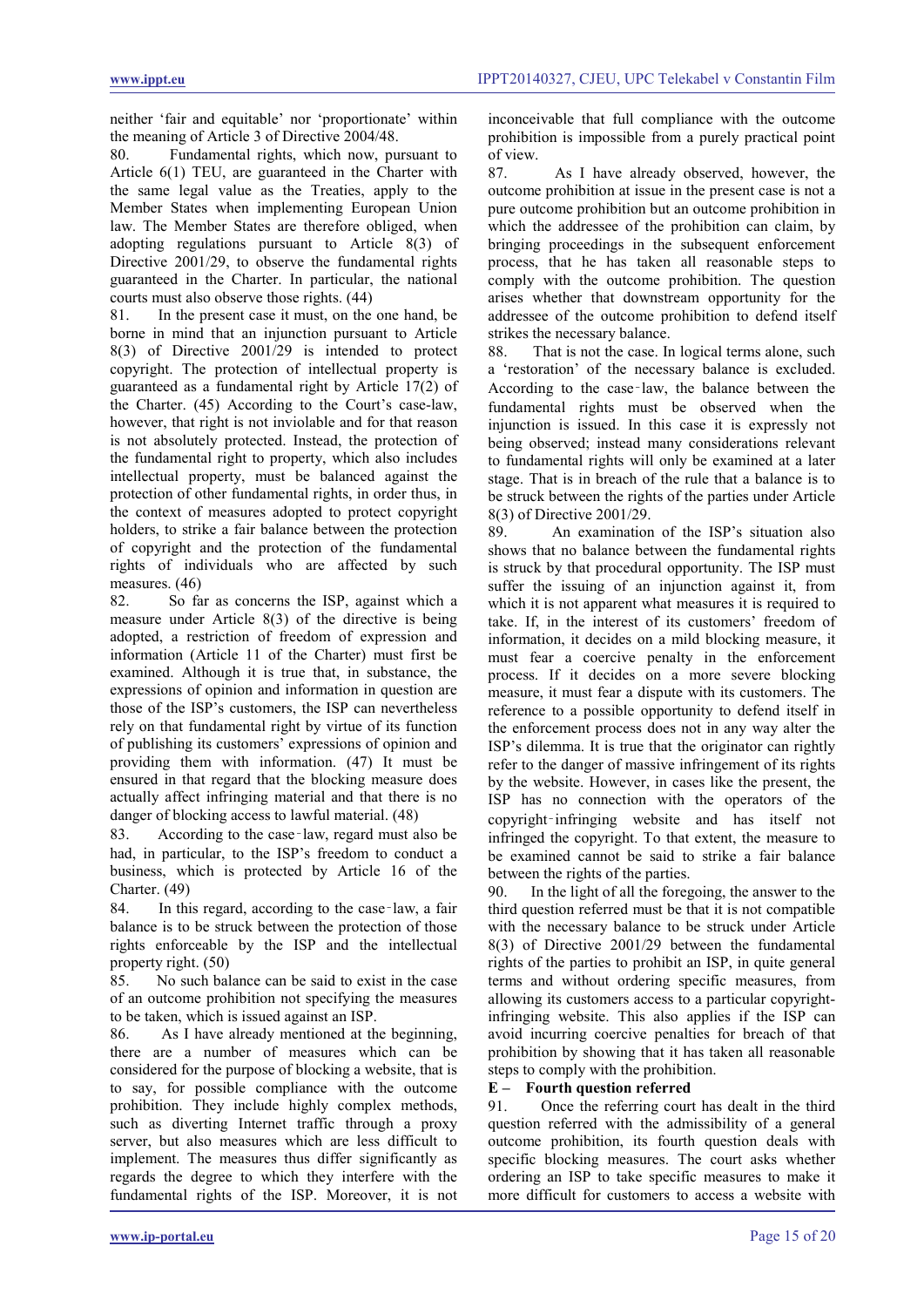neither 'fair and equitable' nor 'proportionate' within the meaning of Article 3 of Directive 2004/48.

80. Fundamental rights, which now, pursuant to Article 6(1) TEU, are guaranteed in the Charter with the same legal value as the Treaties, apply to the Member States when implementing European Union law. The Member States are therefore obliged, when adopting regulations pursuant to Article 8(3) of Directive 2001/29, to observe the fundamental rights guaranteed in the Charter. In particular, the national courts must also observe those rights. (44)<br>81 In the present case it must on the

In the present case it must, on the one hand, be borne in mind that an injunction pursuant to Article 8(3) of Directive 2001/29 is intended to protect copyright. The protection of intellectual property is guaranteed as a fundamental right by Article 17(2) of the Charter. (45) According to the Court's case-law, however, that right is not inviolable and for that reason is not absolutely protected. Instead, the protection of the fundamental right to property, which also includes intellectual property, must be balanced against the protection of other fundamental rights, in order thus, in the context of measures adopted to protect copyright holders, to strike a fair balance between the protection of copyright and the protection of the fundamental rights of individuals who are affected by such measures. (46)

82. So far as concerns the ISP, against which a measure under Article 8(3) of the directive is being adopted, a restriction of freedom of expression and information (Article 11 of the Charter) must first be examined. Although it is true that, in substance, the expressions of opinion and information in question are those of the ISP's customers, the ISP can nevertheless rely on that fundamental right by virtue of its function of publishing its customers' expressions of opinion and providing them with information. (47) It must be ensured in that regard that the blocking measure does actually affect infringing material and that there is no danger of blocking access to lawful material. (48)

83. According to the case-law, regard must also be had, in particular, to the ISP's freedom to conduct a business, which is protected by Article 16 of the Charter. (49)

84. In this regard, according to the case-law, a fair balance is to be struck between the protection of those rights enforceable by the ISP and the intellectual property right. (50)

85. No such balance can be said to exist in the case of an outcome prohibition not specifying the measures to be taken, which is issued against an ISP.

86. As I have already mentioned at the beginning, there are a number of measures which can be considered for the purpose of blocking a website, that is to say, for possible compliance with the outcome prohibition. They include highly complex methods, such as diverting Internet traffic through a proxy server, but also measures which are less difficult to implement. The measures thus differ significantly as regards the degree to which they interfere with the fundamental rights of the ISP. Moreover, it is not inconceivable that full compliance with the outcome prohibition is impossible from a purely practical point of view.

87. As I have already observed, however, the outcome prohibition at issue in the present case is not a pure outcome prohibition but an outcome prohibition in which the addressee of the prohibition can claim, by bringing proceedings in the subsequent enforcement process, that he has taken all reasonable steps to comply with the outcome prohibition. The question arises whether that downstream opportunity for the addressee of the outcome prohibition to defend itself strikes the necessary balance.

88. That is not the case. In logical terms alone, such a 'restoration' of the necessary balance is excluded. According to the case‑law, the balance between the fundamental rights must be observed when the injunction is issued. In this case it is expressly not being observed; instead many considerations relevant to fundamental rights will only be examined at a later stage. That is in breach of the rule that a balance is to be struck between the rights of the parties under Article 8(3) of Directive 2001/29.

89. An examination of the ISP's situation also shows that no balance between the fundamental rights is struck by that procedural opportunity. The ISP must suffer the issuing of an injunction against it, from which it is not apparent what measures it is required to take. If, in the interest of its customers' freedom of information, it decides on a mild blocking measure, it must fear a coercive penalty in the enforcement process. If it decides on a more severe blocking measure, it must fear a dispute with its customers. The reference to a possible opportunity to defend itself in the enforcement process does not in any way alter the ISP's dilemma. It is true that the originator can rightly refer to the danger of massive infringement of its rights by the website. However, in cases like the present, the ISP has no connection with the operators of the copyright‑infringing website and has itself not infringed the copyright. To that extent, the measure to be examined cannot be said to strike a fair balance between the rights of the parties.

90. In the light of all the foregoing, the answer to the third question referred must be that it is not compatible with the necessary balance to be struck under Article 8(3) of Directive 2001/29 between the fundamental rights of the parties to prohibit an ISP, in quite general terms and without ordering specific measures, from allowing its customers access to a particular copyrightinfringing website. This also applies if the ISP can avoid incurring coercive penalties for breach of that prohibition by showing that it has taken all reasonable steps to comply with the prohibition.

# **E – Fourth question referred**

91. Once the referring court has dealt in the third question referred with the admissibility of a general outcome prohibition, its fourth question deals with specific blocking measures. The court asks whether ordering an ISP to take specific measures to make it more difficult for customers to access a website with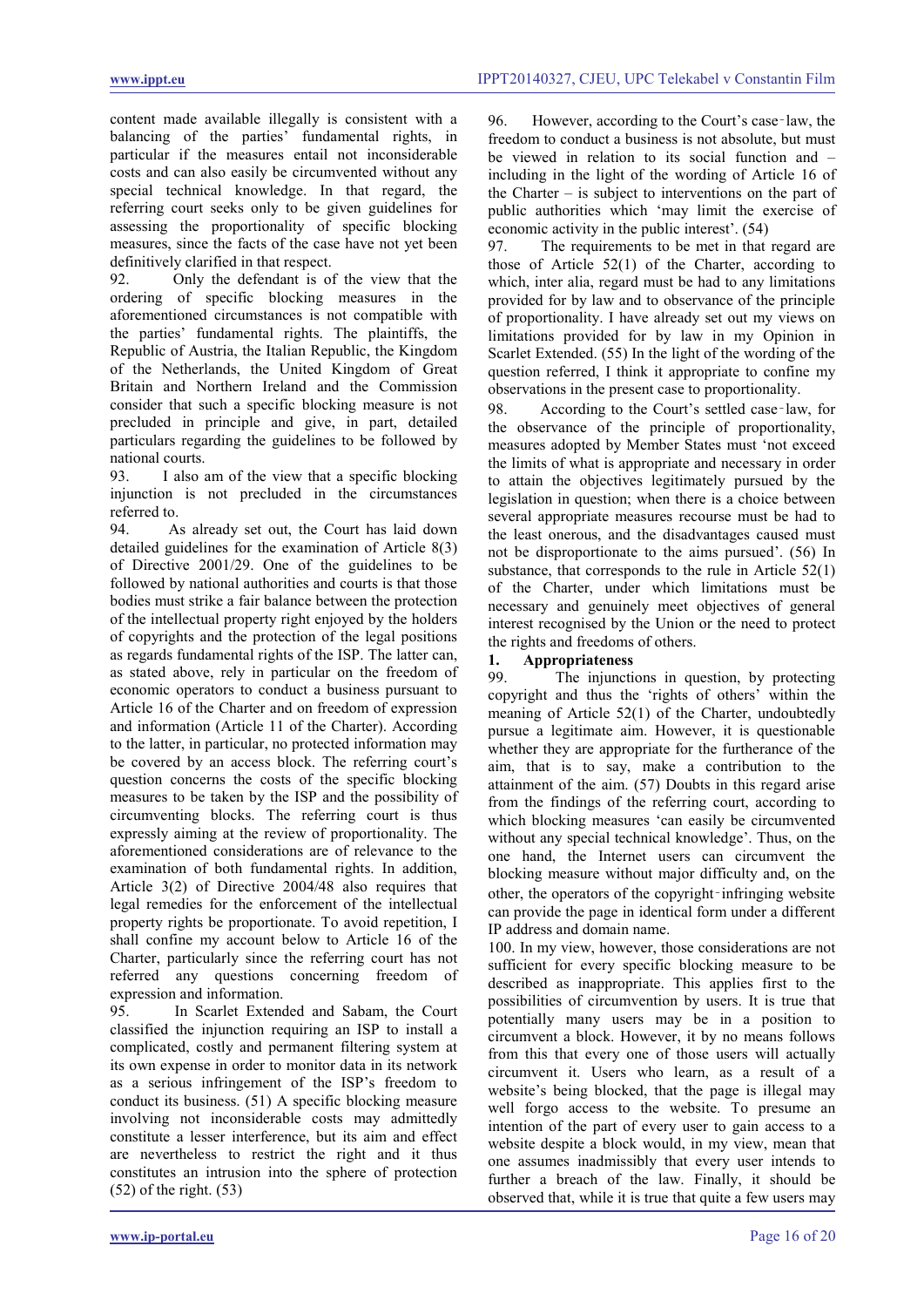content made available illegally is consistent with a balancing of the parties' fundamental rights, in particular if the measures entail not inconsiderable costs and can also easily be circumvented without any special technical knowledge. In that regard, the referring court seeks only to be given guidelines for assessing the proportionality of specific blocking measures, since the facts of the case have not yet been definitively clarified in that respect.

92. Only the defendant is of the view that the ordering of specific blocking measures in the aforementioned circumstances is not compatible with the parties' fundamental rights. The plaintiffs, the Republic of Austria, the Italian Republic, the Kingdom of the Netherlands, the United Kingdom of Great Britain and Northern Ireland and the Commission consider that such a specific blocking measure is not precluded in principle and give, in part, detailed particulars regarding the guidelines to be followed by national courts.<br>93. I also

I also am of the view that a specific blocking injunction is not precluded in the circumstances referred to.

94. As already set out, the Court has laid down detailed guidelines for the examination of Article 8(3) of Directive 2001/29. One of the guidelines to be followed by national authorities and courts is that those bodies must strike a fair balance between the protection of the intellectual property right enjoyed by the holders of copyrights and the protection of the legal positions as regards fundamental rights of the ISP. The latter can, as stated above, rely in particular on the freedom of economic operators to conduct a business pursuant to Article 16 of the Charter and on freedom of expression and information (Article 11 of the Charter). According to the latter, in particular, no protected information may be covered by an access block. The referring court's question concerns the costs of the specific blocking measures to be taken by the ISP and the possibility of circumventing blocks. The referring court is thus expressly aiming at the review of proportionality. The aforementioned considerations are of relevance to the examination of both fundamental rights. In addition, Article 3(2) of Directive 2004/48 also requires that legal remedies for the enforcement of the intellectual property rights be proportionate. To avoid repetition, I shall confine my account below to Article 16 of the Charter, particularly since the referring court has not referred any questions concerning freedom of expression and information.

95. In Scarlet Extended and Sabam, the Court classified the injunction requiring an ISP to install a complicated, costly and permanent filtering system at its own expense in order to monitor data in its network as a serious infringement of the ISP's freedom to conduct its business. (51) A specific blocking measure involving not inconsiderable costs may admittedly constitute a lesser interference, but its aim and effect are nevertheless to restrict the right and it thus constitutes an intrusion into the sphere of protection (52) of the right. (53)

96. However, according to the Court's case‑law, the freedom to conduct a business is not absolute, but must be viewed in relation to its social function and – including in the light of the wording of Article 16 of the Charter – is subject to interventions on the part of public authorities which 'may limit the exercise of economic activity in the public interest'. (54)

97. The requirements to be met in that regard are those of Article 52(1) of the Charter, according to which, inter alia, regard must be had to any limitations provided for by law and to observance of the principle of proportionality. I have already set out my views on limitations provided for by law in my Opinion in Scarlet Extended. (55) In the light of the wording of the question referred, I think it appropriate to confine my observations in the present case to proportionality.

98. According to the Court's settled case-law, for the observance of the principle of proportionality, measures adopted by Member States must 'not exceed the limits of what is appropriate and necessary in order to attain the objectives legitimately pursued by the legislation in question; when there is a choice between several appropriate measures recourse must be had to the least onerous, and the disadvantages caused must not be disproportionate to the aims pursued'. (56) In substance, that corresponds to the rule in Article 52(1) of the Charter, under which limitations must be necessary and genuinely meet objectives of general interest recognised by the Union or the need to protect the rights and freedoms of others.

# **1. Appropriateness**

The injunctions in question, by protecting copyright and thus the 'rights of others' within the meaning of Article 52(1) of the Charter, undoubtedly pursue a legitimate aim. However, it is questionable whether they are appropriate for the furtherance of the aim, that is to say, make a contribution to the attainment of the aim. (57) Doubts in this regard arise from the findings of the referring court, according to which blocking measures 'can easily be circumvented without any special technical knowledge'. Thus, on the one hand, the Internet users can circumvent the blocking measure without major difficulty and, on the other, the operators of the copyright–infringing website can provide the page in identical form under a different IP address and domain name.

100. In my view, however, those considerations are not sufficient for every specific blocking measure to be described as inappropriate. This applies first to the possibilities of circumvention by users. It is true that potentially many users may be in a position to circumvent a block. However, it by no means follows from this that every one of those users will actually circumvent it. Users who learn, as a result of a website's being blocked, that the page is illegal may well forgo access to the website. To presume an intention of the part of every user to gain access to a website despite a block would, in my view, mean that one assumes inadmissibly that every user intends to further a breach of the law. Finally, it should be observed that, while it is true that quite a few users may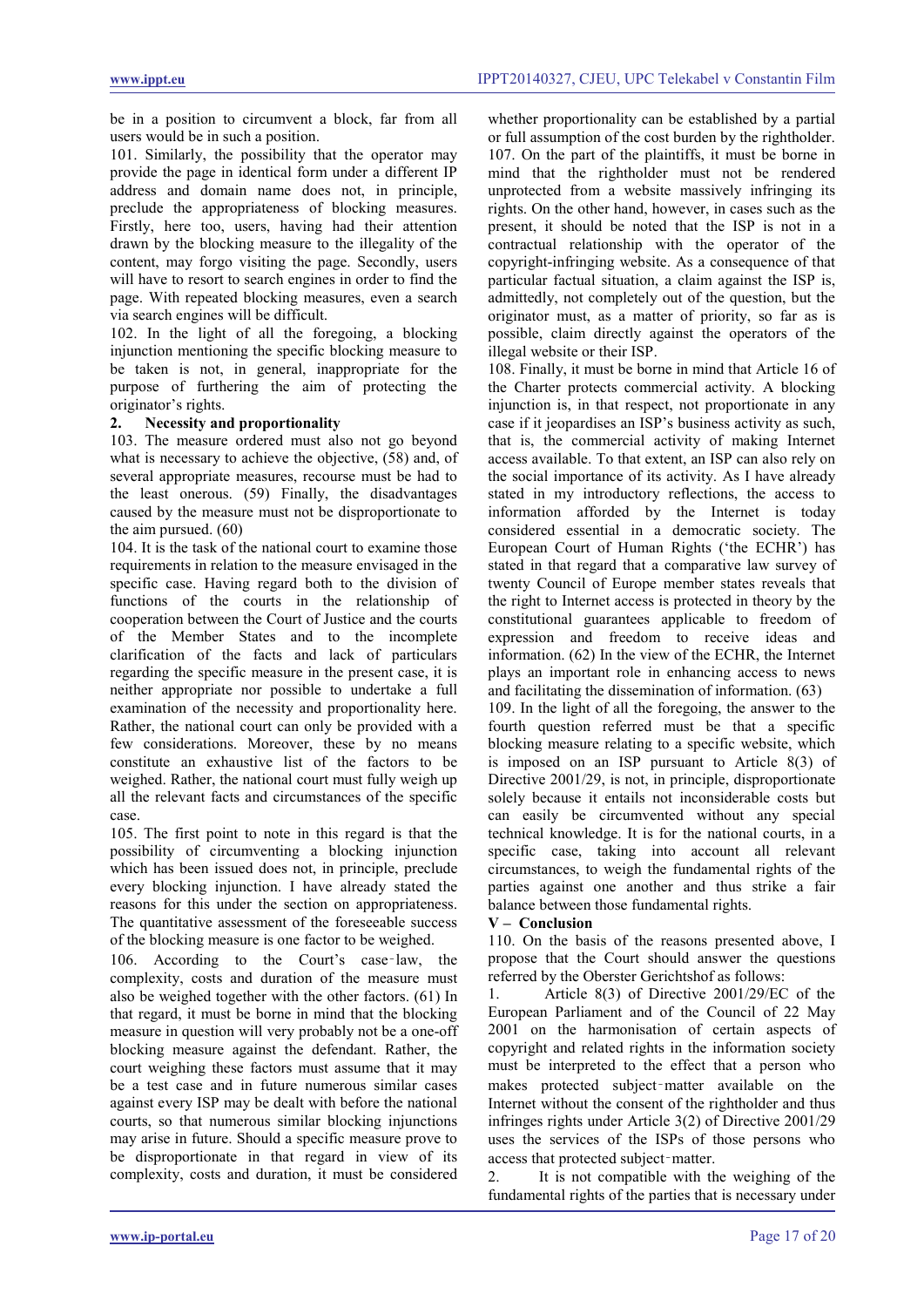be in a position to circumvent a block, far from all users would be in such a position.

101. Similarly, the possibility that the operator may provide the page in identical form under a different IP address and domain name does not, in principle, preclude the appropriateness of blocking measures. Firstly, here too, users, having had their attention drawn by the blocking measure to the illegality of the content, may forgo visiting the page. Secondly, users will have to resort to search engines in order to find the page. With repeated blocking measures, even a search via search engines will be difficult.

102. In the light of all the foregoing, a blocking injunction mentioning the specific blocking measure to be taken is not, in general, inappropriate for the purpose of furthering the aim of protecting the originator's rights.

# **2. Necessity and proportionality**

103. The measure ordered must also not go beyond what is necessary to achieve the objective, (58) and, of several appropriate measures, recourse must be had to the least onerous. (59) Finally, the disadvantages caused by the measure must not be disproportionate to the aim pursued. (60)

104. It is the task of the national court to examine those requirements in relation to the measure envisaged in the specific case. Having regard both to the division of functions of the courts in the relationship of cooperation between the Court of Justice and the courts of the Member States and to the incomplete clarification of the facts and lack of particulars regarding the specific measure in the present case, it is neither appropriate nor possible to undertake a full examination of the necessity and proportionality here. Rather, the national court can only be provided with a few considerations. Moreover, these by no means constitute an exhaustive list of the factors to be weighed. Rather, the national court must fully weigh up all the relevant facts and circumstances of the specific case.

105. The first point to note in this regard is that the possibility of circumventing a blocking injunction which has been issued does not, in principle, preclude every blocking injunction. I have already stated the reasons for this under the section on appropriateness. The quantitative assessment of the foreseeable success of the blocking measure is one factor to be weighed.

106. According to the Court's case-law, the complexity, costs and duration of the measure must also be weighed together with the other factors. (61) In that regard, it must be borne in mind that the blocking measure in question will very probably not be a one-off blocking measure against the defendant. Rather, the court weighing these factors must assume that it may be a test case and in future numerous similar cases against every ISP may be dealt with before the national courts, so that numerous similar blocking injunctions may arise in future. Should a specific measure prove to be disproportionate in that regard in view of its complexity, costs and duration, it must be considered

whether proportionality can be established by a partial or full assumption of the cost burden by the rightholder. 107. On the part of the plaintiffs, it must be borne in mind that the rightholder must not be rendered unprotected from a website massively infringing its rights. On the other hand, however, in cases such as the present, it should be noted that the ISP is not in a contractual relationship with the operator of the copyright-infringing website. As a consequence of that particular factual situation, a claim against the ISP is, admittedly, not completely out of the question, but the originator must, as a matter of priority, so far as is possible, claim directly against the operators of the illegal website or their ISP.

108. Finally, it must be borne in mind that Article 16 of the Charter protects commercial activity. A blocking injunction is, in that respect, not proportionate in any case if it jeopardises an ISP's business activity as such, that is, the commercial activity of making Internet access available. To that extent, an ISP can also rely on the social importance of its activity. As I have already stated in my introductory reflections, the access to information afforded by the Internet is today considered essential in a democratic society. The European Court of Human Rights ('the ECHR') has stated in that regard that a comparative law survey of twenty Council of Europe member states reveals that the right to Internet access is protected in theory by the constitutional guarantees applicable to freedom of expression and freedom to receive ideas and information. (62) In the view of the ECHR, the Internet plays an important role in enhancing access to news and facilitating the dissemination of information. (63)

109. In the light of all the foregoing, the answer to the fourth question referred must be that a specific blocking measure relating to a specific website, which is imposed on an ISP pursuant to Article 8(3) of Directive 2001/29, is not, in principle, disproportionate solely because it entails not inconsiderable costs but can easily be circumvented without any special technical knowledge. It is for the national courts, in a specific case, taking into account all relevant circumstances, to weigh the fundamental rights of the parties against one another and thus strike a fair balance between those fundamental rights.

#### **V – Conclusion**

110. On the basis of the reasons presented above, I propose that the Court should answer the questions referred by the Oberster Gerichtshof as follows:

1. Article 8(3) of Directive 2001/29/EC of the European Parliament and of the Council of 22 May 2001 on the harmonisation of certain aspects of copyright and related rights in the information society must be interpreted to the effect that a person who makes protected subject-matter available on the Internet without the consent of the rightholder and thus infringes rights under Article 3(2) of Directive 2001/29 uses the services of the ISPs of those persons who access that protected subject‑matter.

2. It is not compatible with the weighing of the fundamental rights of the parties that is necessary under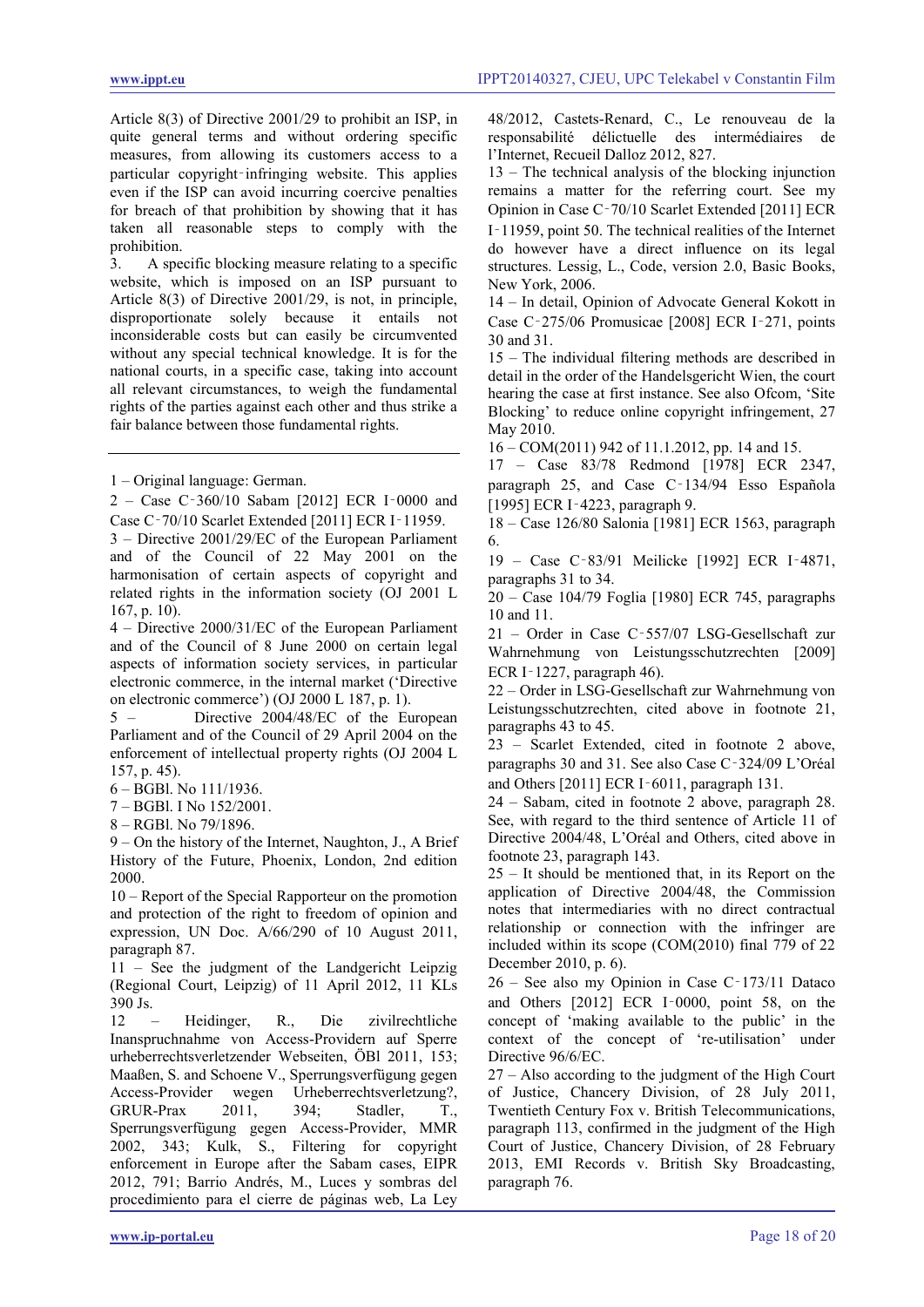Article 8(3) of Directive 2001/29 to prohibit an ISP, in quite general terms and without ordering specific measures, from allowing its customers access to a particular copyright–infringing website. This applies even if the ISP can avoid incurring coercive penalties for breach of that prohibition by showing that it has taken all reasonable steps to comply with the prohibition.

3. A specific blocking measure relating to a specific website, which is imposed on an ISP pursuant to Article 8(3) of Directive 2001/29, is not, in principle, disproportionate solely because it entails not inconsiderable costs but can easily be circumvented without any special technical knowledge. It is for the national courts, in a specific case, taking into account all relevant circumstances, to weigh the fundamental rights of the parties against each other and thus strike a fair balance between those fundamental rights.

1 – Original language: German.

2 – Case C‑360/10 Sabam [2012] ECR I‑0000 and Case C‑70/10 Scarlet Extended [2011] ECR I‑11959.

3 – Directive 2001/29/EC of the European Parliament and of the Council of 22 May 2001 on the harmonisation of certain aspects of copyright and related rights in the information society (OJ 2001 L 167, p. 10).

4 – Directive 2000/31/EC of the European Parliament and of the Council of 8 June 2000 on certain legal aspects of information society services, in particular electronic commerce, in the internal market ('Directive on electronic commerce') (OJ 2000 L 187, p. 1).

5 – Directive 2004/48/EC of the European Parliament and of the Council of 29 April 2004 on the enforcement of intellectual property rights (OJ 2004 L 157, p. 45).

6 – BGBl. No 111/1936.

7 – BGBl. I No 152/2001.

8 – RGBl. No 79/1896.

9 – On the history of the Internet, Naughton, J., A Brief History of the Future, Phoenix, London, 2nd edition 2000.

10 – Report of the Special Rapporteur on the promotion and protection of the right to freedom of opinion and expression, UN Doc. A/66/290 of 10 August 2011, paragraph 87.

11 – See the judgment of the Landgericht Leipzig (Regional Court, Leipzig) of 11 April 2012, 11 KLs 390 Js.

12 – Heidinger, R., Die zivilrechtliche Inanspruchnahme von Access-Providern auf Sperre urheberrechtsverletzender Webseiten, ÖBl 2011, 153; Maaßen, S. and Schoene V., Sperrungsverfügung gegen Access-Provider wegen Urheberrechtsverletzung?, GRUR-Prax 2011, 394; Stadler, T., Sperrungsverfügung gegen Access-Provider, MMR 2002, 343; Kulk, S., Filtering for copyright enforcement in Europe after the Sabam cases, EIPR 2012, 791; Barrio Andrés, M., Luces y sombras del procedimiento para el cierre de páginas web, La Ley

48/2012, Castets-Renard, C., Le renouveau de la responsabilité délictuelle des intermédiaires de l'Internet, Recueil Dalloz 2012, 827.

13 – The technical analysis of the blocking injunction remains a matter for the referring court. See my Opinion in Case C‑70/10 Scarlet Extended [2011] ECR I‑11959, point 50. The technical realities of the Internet do however have a direct influence on its legal structures. Lessig, L., Code, version 2.0, Basic Books, New York, 2006.

14 – In detail, Opinion of Advocate General Kokott in Case C‑275/06 Promusicae [2008] ECR I‑271, points 30 and 31.

15 – The individual filtering methods are described in detail in the order of the Handelsgericht Wien, the court hearing the case at first instance. See also Ofcom, 'Site Blocking' to reduce online copyright infringement, 27 May 2010.

16 – COM(2011) 942 of 11.1.2012, pp. 14 and 15.

17 – Case 83/78 Redmond [1978] ECR 2347, paragraph 25, and Case C‑134/94 Esso Española [1995] ECR I-4223, paragraph 9.

18 – Case 126/80 Salonia [1981] ECR 1563, paragraph 6.

19 – Case C‑83/91 Meilicke [1992] ECR I‑4871, paragraphs 31 to 34.

20 – Case 104/79 Foglia [1980] ECR 745, paragraphs 10 and 11.

21 – Order in Case C‑557/07 LSG-Gesellschaft zur Wahrnehmung von Leistungsschutzrechten [2009] ECR I‑1227, paragraph 46).

22 – Order in LSG-Gesellschaft zur Wahrnehmung von Leistungsschutzrechten, cited above in footnote 21, paragraphs 43 to 45.

23 – Scarlet Extended, cited in footnote 2 above, paragraphs 30 and 31. See also Case C‑324/09 L'Oréal and Others [2011] ECR I‑6011, paragraph 131.

24 – Sabam, cited in footnote 2 above, paragraph 28. See, with regard to the third sentence of Article 11 of Directive 2004/48, L'Oréal and Others, cited above in footnote 23, paragraph 143.

25 – It should be mentioned that, in its Report on the application of Directive 2004/48, the Commission notes that intermediaries with no direct contractual relationship or connection with the infringer are included within its scope (COM(2010) final 779 of 22 December 2010, p. 6).

26 – See also my Opinion in Case C‑173/11 Dataco and Others [2012] ECR I‑0000, point 58, on the concept of 'making available to the public' in the context of the concept of 're-utilisation' under Directive 96/6/EC.

27 – Also according to the judgment of the High Court of Justice, Chancery Division, of 28 July 2011, Twentieth Century Fox v. British Telecommunications, paragraph 113, confirmed in the judgment of the High Court of Justice, Chancery Division, of 28 February 2013, EMI Records v. British Sky Broadcasting, paragraph 76.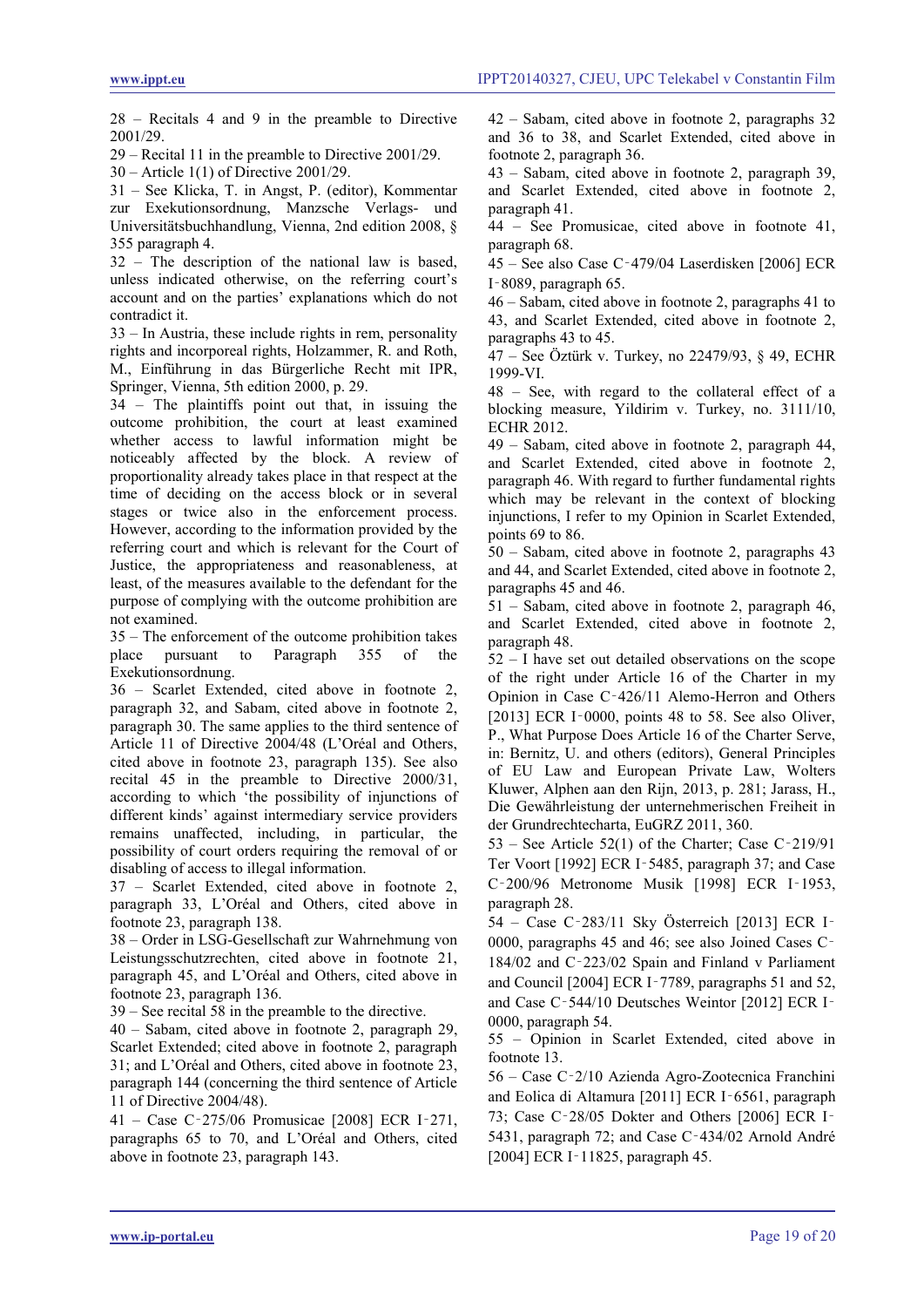28 – Recitals 4 and 9 in the preamble to Directive 2001/29.

29 – Recital 11 in the preamble to Directive 2001/29.

30 – Article 1(1) of Directive 2001/29.

31 – See Klicka, T. in Angst, P. (editor), Kommentar zur Exekutionsordnung, Manzsche Verlags- und Universitätsbuchhandlung, Vienna, 2nd edition 2008, § 355 paragraph 4.

32 – The description of the national law is based, unless indicated otherwise, on the referring court's account and on the parties' explanations which do not contradict it.

33 – In Austria, these include rights in rem, personality rights and incorporeal rights, Holzammer, R. and Roth, M., Einführung in das Bürgerliche Recht mit IPR, Springer, Vienna, 5th edition 2000, p. 29.

34 – The plaintiffs point out that, in issuing the outcome prohibition, the court at least examined whether access to lawful information might be noticeably affected by the block. A review of proportionality already takes place in that respect at the time of deciding on the access block or in several stages or twice also in the enforcement process. However, according to the information provided by the referring court and which is relevant for the Court of Justice, the appropriateness and reasonableness, at least, of the measures available to the defendant for the purpose of complying with the outcome prohibition are not examined.

 $35$  – The enforcement of the outcome prohibition takes<br>place pursuant to Paragraph  $355$  of the pursuant to Paragraph 355 of the Exekutionsordnung.

36 – Scarlet Extended, cited above in footnote 2, paragraph 32, and Sabam, cited above in footnote 2, paragraph 30. The same applies to the third sentence of Article 11 of Directive 2004/48 (L'Oréal and Others, cited above in footnote 23, paragraph 135). See also recital 45 in the preamble to Directive 2000/31, according to which 'the possibility of injunctions of different kinds' against intermediary service providers remains unaffected, including, in particular, the possibility of court orders requiring the removal of or disabling of access to illegal information.

37 – Scarlet Extended, cited above in footnote 2, paragraph 33, L'Oréal and Others, cited above in footnote 23, paragraph 138.

38 – Order in LSG-Gesellschaft zur Wahrnehmung von Leistungsschutzrechten, cited above in footnote 21, paragraph 45, and L'Oréal and Others, cited above in footnote 23, paragraph 136.

39 – See recital 58 in the preamble to the directive.

40 – Sabam, cited above in footnote 2, paragraph 29, Scarlet Extended; cited above in footnote 2, paragraph 31; and L'Oréal and Others, cited above in footnote 23, paragraph 144 (concerning the third sentence of Article 11 of Directive 2004/48).

41 – Case C‑275/06 Promusicae [2008] ECR I‑271, paragraphs 65 to 70, and L'Oréal and Others, cited above in footnote 23, paragraph 143.

42 – Sabam, cited above in footnote 2, paragraphs 32 and 36 to 38, and Scarlet Extended, cited above in footnote 2, paragraph 36.

43 – Sabam, cited above in footnote 2, paragraph 39, and Scarlet Extended, cited above in footnote 2, paragraph 41.

44 – See Promusicae, cited above in footnote 41, paragraph 68.

45 – See also Case C‑479/04 Laserdisken [2006] ECR I‑8089, paragraph 65.

46 – Sabam, cited above in footnote 2, paragraphs 41 to 43, and Scarlet Extended, cited above in footnote 2, paragraphs 43 to 45.

47 – See Öztürk v. Turkey, no 22479/93, § 49, ECHR 1999-VI.

48 – See, with regard to the collateral effect of a blocking measure, Yildirim v. Turkey, no. 3111/10, ECHR 2012.

49 – Sabam, cited above in footnote 2, paragraph 44, and Scarlet Extended, cited above in footnote 2, paragraph 46. With regard to further fundamental rights which may be relevant in the context of blocking injunctions, I refer to my Opinion in Scarlet Extended, points 69 to 86.

50 – Sabam, cited above in footnote 2, paragraphs 43 and 44, and Scarlet Extended, cited above in footnote 2, paragraphs 45 and 46.

51 – Sabam, cited above in footnote 2, paragraph 46, and Scarlet Extended, cited above in footnote 2, paragraph 48.

52 – I have set out detailed observations on the scope of the right under Article 16 of the Charter in my Opinion in Case C‑426/11 Alemo-Herron and Others [2013] ECR I-0000, points 48 to 58. See also Oliver, P., What Purpose Does Article 16 of the Charter Serve, in: Bernitz, U. and others (editors), General Principles of EU Law and European Private Law, Wolters Kluwer, Alphen aan den Rijn, 2013, p. 281; Jarass, H., Die Gewährleistung der unternehmerischen Freiheit in der Grundrechtecharta, EuGRZ 2011, 360.

53 – See Article 52(1) of the Charter; Case C $-219/91$ Ter Voort [1992] ECR I-5485, paragraph 37; and Case C‑200/96 Metronome Musik [1998] ECR I‑1953, paragraph 28.

54 – Case C‑283/11 Sky Österreich [2013] ECR I‑ 0000, paragraphs 45 and 46; see also Joined Cases C‑ 184/02 and C‑223/02 Spain and Finland v Parliament and Council [2004] ECR I‑7789, paragraphs 51 and 52, and Case C‑544/10 Deutsches Weintor [2012] ECR I‑ 0000, paragraph 54.

55 – Opinion in Scarlet Extended, cited above in footnote 13.

56 – Case C‑2/10 Azienda Agro-Zootecnica Franchini and Eolica di Altamura [2011] ECR I‑6561, paragraph 73; Case C‑28/05 Dokter and Others [2006] ECR I‑ 5431, paragraph 72; and Case C‑434/02 Arnold André [2004] ECR I-11825, paragraph 45.